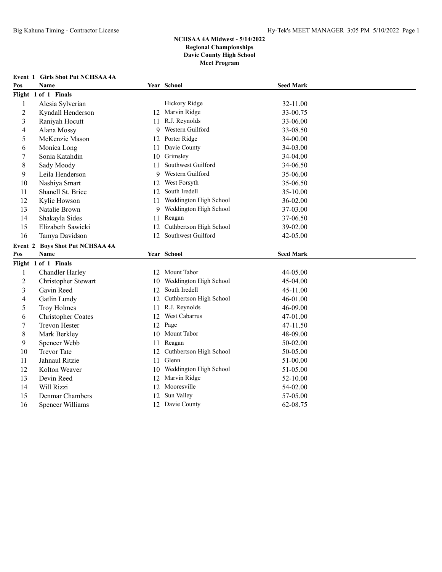**Event 1 Girls Shot Put NCHSAA 4A**

| Pos                      | Name                                   |    | Year School             | <b>Seed Mark</b> |  |
|--------------------------|----------------------------------------|----|-------------------------|------------------|--|
|                          | Flight 1 of 1 Finals                   |    |                         |                  |  |
| $\mathbf{1}$             | Alesia Sylverian                       |    | Hickory Ridge           | 32-11.00         |  |
| $\overline{2}$           | Kyndall Henderson                      |    | 12 Marvin Ridge         | 33-00.75         |  |
| 3                        | Raniyah Hocutt                         | 11 | R.J. Reynolds           | 33-06.00         |  |
| $\overline{\mathcal{L}}$ | Alana Mossy                            | 9  | Western Guilford        | 33-08.50         |  |
| 5                        | McKenzie Mason                         | 12 | Porter Ridge            | 34-00.00         |  |
| 6                        | Monica Long                            | 11 | Davie County            | 34-03.00         |  |
| 7                        | Sonia Katahdin                         | 10 | Grimsley                | 34-04.00         |  |
| 8                        | Sady Moody                             | 11 | Southwest Guilford      | 34-06.50         |  |
| 9                        | Leila Henderson                        | 9  | Western Guilford        | 35-06.00         |  |
| 10                       | Nashiya Smart                          | 12 | West Forsyth            | 35-06.50         |  |
| 11                       | Shanell St. Brice                      | 12 | South Iredell           | 35-10.00         |  |
| 12                       | Kylie Howson                           | 11 | Weddington High School  | 36-02.00         |  |
| 13                       | Natalie Brown                          | 9  | Weddington High School  | 37-03.00         |  |
| 14                       | Shakayla Sides                         | 11 | Reagan                  | 37-06.50         |  |
| 15                       | Elizabeth Sawicki                      | 12 | Cuthbertson High School | 39-02.00         |  |
| 16                       | Tamya Davidson                         | 12 | Southwest Guilford      | 42-05.00         |  |
|                          | <b>Event 2 Boys Shot Put NCHSAA 4A</b> |    |                         |                  |  |
| Pos                      | <b>Name</b>                            |    | Year School             | <b>Seed Mark</b> |  |
|                          | Flight 1 of 1 Finals                   |    |                         |                  |  |
| $\mathbf{1}$             | Chandler Harley                        |    | 12 Mount Tabor          | 44-05.00         |  |
| $\overline{2}$           | Christopher Stewart                    | 10 | Weddington High School  | 45-04.00         |  |
| 3                        | Gavin Reed                             | 12 | South Iredell           | 45-11.00         |  |
| 4                        | Gatlin Lundy                           | 12 | Cuthbertson High School | 46-01.00         |  |
| 5                        | Troy Holmes                            | 11 | R.J. Reynolds           | 46-09.00         |  |
| 6                        | <b>Christopher Coates</b>              | 12 | West Cabarrus           | 47-01.00         |  |
| $\tau$                   | <b>Trevon Hester</b>                   |    | 12 Page                 | 47-11.50         |  |
| $\,$ 8 $\,$              | Mark Berkley                           |    | 10 Mount Tabor          | 48-09.00         |  |
| 9                        | Spencer Webb                           | 11 | Reagan                  | 50-02.00         |  |
| 10                       | <b>Trevor Tate</b>                     | 12 | Cuthbertson High School | 50-05.00         |  |
| 11                       | Jahnaul Ritzie                         | 11 | Glenn                   | 51-00.00         |  |
| 12                       | Kolton Weaver                          | 10 | Weddington High School  | 51-05.00         |  |
| 13                       | Devin Reed                             |    | 12 Marvin Ridge         | 52-10.00         |  |
| 14                       | Will Rizzi                             |    | 12 Mooresville          | 54-02.00         |  |
| 15                       | Denmar Chambers                        | 12 | Sun Valley              | 57-05.00         |  |
| 16                       | <b>Spencer Williams</b>                |    | 12 Davie County         | 62-08.75         |  |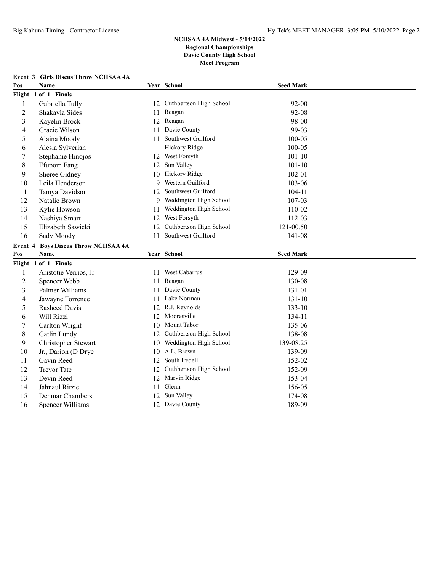|                | <b>Event 3 Girls Discus Throw NCHSAA 4A</b> |     |                            |                  |  |
|----------------|---------------------------------------------|-----|----------------------------|------------------|--|
| Pos            | <b>Name</b>                                 |     | Year School                | <b>Seed Mark</b> |  |
|                | Flight 1 of 1 Finals                        |     |                            |                  |  |
| $\mathbf{1}$   | Gabriella Tully                             |     | 12 Cuthbertson High School | $92 - 00$        |  |
| $\overline{c}$ | Shakayla Sides                              | 11  | Reagan                     | 92-08            |  |
| 3              | Kayelin Brock                               |     | 12 Reagan                  | 98-00            |  |
| 4              | Gracie Wilson                               | 11  | Davie County               | 99-03            |  |
| 5              | Alaina Moody                                | 11. | Southwest Guilford         | 100-05           |  |
| 6              | Alesia Sylverian                            |     | Hickory Ridge              | $100 - 05$       |  |
| 7              | Stephanie Hinojos                           |     | 12 West Forsyth            | $101 - 10$       |  |
| 8              | Efupom Fang                                 | 12  | Sun Valley                 | $101 - 10$       |  |
| 9              | Sheree Gidney                               |     | 10 Hickory Ridge           | $102 - 01$       |  |
| 10             | Leila Henderson                             | 9   | Western Guilford           | 103-06           |  |
| 11             | Tamya Davidson                              | 12  | Southwest Guilford         | 104-11           |  |
| 12             | Natalie Brown                               | 9   | Weddington High School     | 107-03           |  |
| 13             | Kylie Howson                                | 11  | Weddington High School     | 110-02           |  |
| 14             | Nashiya Smart                               |     | 12 West Forsyth            | 112-03           |  |
| 15             | Elizabeth Sawicki                           | 12  | Cuthbertson High School    | 121-00.50        |  |
| 16             | Sady Moody                                  | 11  | Southwest Guilford         | 141-08           |  |
| Event 4        | <b>Boys Discus Throw NCHSAA 4A</b>          |     |                            |                  |  |
| Pos            | Name                                        |     | Year School                | <b>Seed Mark</b> |  |
|                | Flight 1 of 1 Finals                        |     |                            |                  |  |
| 1              | Aristotie Verrios, Jr                       |     | 11 West Cabarrus           | 129-09           |  |
| $\overline{c}$ | Spencer Webb                                |     | 11 Reagan                  | 130-08           |  |
| 3              | Palmer Williams                             | 11  | Davie County               | 131-01           |  |
| 4              | Jawayne Torrence                            | 11  | Lake Norman                | 131-10           |  |
| 5              | Rasheed Davis                               |     | 12 R.J. Reynolds           | $133 - 10$       |  |
| 6              | Will Rizzi                                  |     | 12 Mooresville             | 134-11           |  |
| 7              | Carlton Wright                              |     | 10 Mount Tabor             | 135-06           |  |
| 8              | Gatlin Lundy                                |     | 12 Cuthbertson High School | 138-08           |  |
| 9              | Christopher Stewart                         |     | 10 Weddington High School  | 139-08.25        |  |
| 10             | Jr., Darion (D Drye                         |     | 10 A.L. Brown              | 139-09           |  |
| 11             | Gavin Reed                                  | 12  | South Iredell              | 152-02           |  |
| 12             | <b>Trevor Tate</b>                          | 12  | Cuthbertson High School    | 152-09           |  |
| 13             | Devin Reed                                  | 12  | Marvin Ridge               | 153-04           |  |
| 14             | Jahnaul Ritzie                              | 11  | Glenn                      | 156-05           |  |
| 15             |                                             |     |                            |                  |  |
|                | Denmar Chambers<br><b>Spencer Williams</b>  | 12  | Sun Valley                 | 174-08           |  |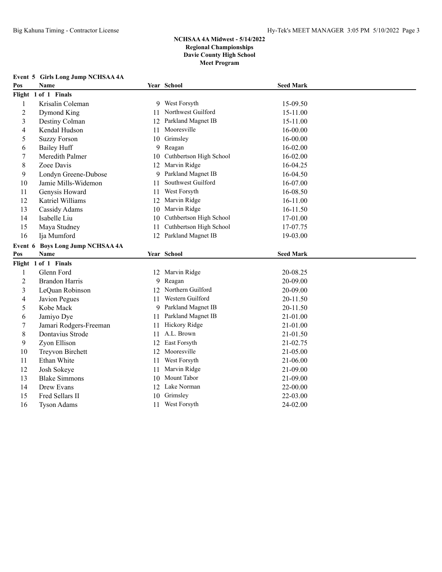|                | Event 5 Girls Long Jump NCHSAA 4A |    |                             |                  |  |
|----------------|-----------------------------------|----|-----------------------------|------------------|--|
| Pos            | <b>Name</b>                       |    | Year School                 | <b>Seed Mark</b> |  |
|                | Flight 1 of 1 Finals              |    |                             |                  |  |
| $\mathbf{1}$   | Krisalin Coleman                  |    | 9 West Forsyth              | 15-09.50         |  |
| $\overline{c}$ | Dymond King                       | 11 | Northwest Guilford          | 15-11.00         |  |
| 3              | Destiny Colman                    |    | 12 Parkland Magnet IB       | 15-11.00         |  |
| 4              | Kendal Hudson                     | 11 | Mooresville                 | 16-00.00         |  |
| 5              | <b>Suzzy Forson</b>               | 10 | Grimsley                    | 16-00.00         |  |
| 6              | <b>Bailey Huff</b>                | 9  | Reagan                      | 16-02.00         |  |
| 7              | Meredith Palmer                   | 10 | Cuthbertson High School     | 16-02.00         |  |
| 8              | Zoee Davis                        |    | 12 Marvin Ridge             | 16-04.25         |  |
| 9              | Londyn Greene-Dubose              | 9  | Parkland Magnet IB          | 16-04.50         |  |
| 10             | Jamie Mills-Widemon               | 11 | Southwest Guilford          | 16-07.00         |  |
| 11             | Genysis Howard                    | 11 | West Forsyth                | 16-08.50         |  |
| 12             | Katriel Williams                  |    | 12 Marvin Ridge             | 16-11.00         |  |
| 13             | Cassidy Adams                     |    | 10 Marvin Ridge             | 16-11.50         |  |
| 14             | Isabelle Liu                      | 10 | Cuthbertson High School     | 17-01.00         |  |
| 15             | Maya Studney                      | 11 | Cuthbertson High School     | 17-07.75         |  |
| 16             | Ija Mumford                       |    | 12 Parkland Magnet IB       | 19-03.00         |  |
|                | Event 6 Boys Long Jump NCHSAA 4A  |    |                             |                  |  |
| Pos            | <b>Name</b>                       |    | Year School                 | <b>Seed Mark</b> |  |
|                | Flight 1 of 1 Finals              |    |                             |                  |  |
| $\mathbf{1}$   | Glenn Ford                        |    | 12 Marvin Ridge             | 20-08.25         |  |
| $\overline{c}$ |                                   |    |                             |                  |  |
| 3              | <b>Brandon Harris</b>             |    | 9 Reagan                    | 20-09.00         |  |
|                | LeQuan Robinson                   |    | 12 Northern Guilford        | 20-09.00         |  |
| 4              | Javion Pegues                     |    | 11 Western Guilford         | 20-11.50         |  |
| 5              | Kobe Mack                         | 9  | Parkland Magnet IB          | 20-11.50         |  |
| 6              | Jamiyo Dye                        | 11 | Parkland Magnet IB          | 21-01.00         |  |
| 7              | Jamari Rodgers-Freeman            |    | 11 Hickory Ridge            | 21-01.00         |  |
| 8              | Dontavius Strode                  |    | 11 A.L. Brown               | 21-01.50         |  |
| 9              | Zyon Ellison                      |    | 12 East Forsyth             | 21-02.75         |  |
| 10             | Treyvon Birchett                  | 12 | Mooresville                 | 21-05.00         |  |
| 11             | Ethan White                       | 11 | West Forsyth                | 21-06.00         |  |
| 12             | Josh Sokeye                       | 11 | Marvin Ridge                | 21-09.00         |  |
| 13             | <b>Blake Simmons</b>              | 10 | Mount Tabor                 | 21-09.00         |  |
| 14             | Drew Evans                        |    | 12 Lake Norman              | 22-00.00         |  |
| 15             | Fred Sellars II                   | 10 | Grimsley<br>11 West Forsyth | 22-03.00         |  |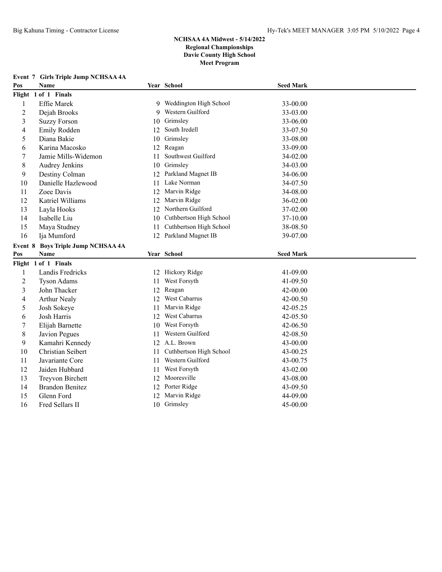**Event 7 Girls Triple Jump NCHSAA 4A**

# **NCHSAA 4A Midwest - 5/14/2022 Regional Championships Davie County High School Meet Program**

# **Pos Name Year School Seed Mark Flight 1 of 1 Finals** Effie Marek 9 Weddington High School 33-00.00 Dejah Brooks 9 Western Guilford 33-03.00 Suzzy Forson 10 Grimsley 33-06.00 Emily Rodden 12 South Iredell 33-07.50 Diana Bakie 10 Grimsley 33-08.00 Karina Macosko 12 Reagan 33-09.00 Jamie Mills-Widemon 11 Southwest Guilford 34-02.00 Audrey Jenkins 10 Grimsley 34-03.00 Destiny Colman 12 Parkland Magnet IB 34-06.00 10 Danielle Hazlewood 11 Lake Norman 34-07.50 Zoee Davis 12 Marvin Ridge 34-08.00 Katriel Williams 12 Marvin Ridge 36-02.00 Layla Hooks 12 Northern Guilford 37-02.00 Isabelle Liu 10 Cuthbertson High School 37-10.00 Maya Studney 11 Cuthbertson High School 38-08.50 Ija Mumford 12 Parkland Magnet IB 39-07.00 **Event 8 Boys Triple Jump NCHSAA 4A Pos Name Year School Seed Mark Flight 1 of 1 Finals** Landis Fredricks 12 Hickory Ridge 41-09.00 Tyson Adams 11 West Forsyth 41-09.50 John Thacker 12 Reagan 42-00.00 Arthur Nealy 12 West Cabarrus 42-00.50 Josh Sokeye 11 Marvin Ridge 42-05.25 Josh Harris 12 West Cabarrus 42-05.50 Elijah Barnette 10 West Forsyth 42-06.50 Javion Pegues 11 Western Guilford 42-08.50 Kamahri Kennedy 12 A.L. Brown 43-00.00 Christian Seibert 11 Cuthbertson High School 43-00.25 Javariante Core 11 Western Guilford 43-00.75 Jaiden Hubbard 11 West Forsyth 43-02.00 Treyvon Birchett 12 Mooresville 43-08.00 Brandon Benitez 12 Porter Ridge 43-09.50 Glenn Ford 12 Marvin Ridge 44-09.00 16 Fred Sellars II 10 Grimsley 45-00.00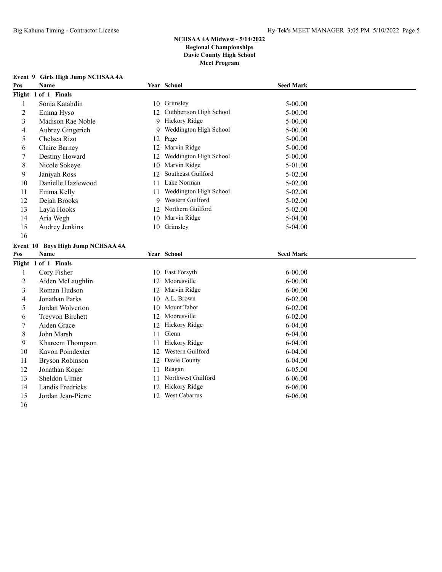| Pos | Name                              |    | Year School                | <b>Seed Mark</b>            |  |
|-----|-----------------------------------|----|----------------------------|-----------------------------|--|
|     | Flight 1 of 1 Finals              |    |                            |                             |  |
|     | Sonia Katahdin                    | 10 | Grimsley                   | $5 - 00.00$                 |  |
| 2   | Emma Hyso                         |    | 12 Cuthbertson High School | $5 - 00.00$                 |  |
| 3   | Madison Rae Noble                 |    | 9 Hickory Ridge            | $5 - 00.00$                 |  |
| 4   | Aubrey Gingerich                  | 9  | Weddington High School     | $5 - 00.00$                 |  |
| 5   | Chelsea Rizo                      |    | 12 Page                    | $5 - 00.00$                 |  |
| 6   | Claire Barney                     | 12 | Marvin Ridge               | $5 - 00.00$                 |  |
| 7   | Destiny Howard                    | 12 | Weddington High School     | $5 - 00.00$                 |  |
| 8   | Nicole Sokeye                     | 10 | Marvin Ridge               | 5-01.00                     |  |
| 9   | Janiyah Ross                      | 12 | Southeast Guilford         | $5 - 02.00$                 |  |
| 10  | Danielle Hazlewood                | 11 | Lake Norman                | $5 - 02.00$                 |  |
| 11  | Emma Kelly                        | 11 | Weddington High School     | $5 - 02.00$                 |  |
| 12  | Dejah Brooks                      | 9  | Western Guilford           | $5 - 02.00$                 |  |
| 13  | Layla Hooks                       |    | 12 Northern Guilford       | $5 - 02.00$                 |  |
| 14  | Aria Wegh                         |    | 10 Marvin Ridge            | $5-04.00$                   |  |
| 15  | Audrey Jenkins                    |    | 10 Grimsley                | $5-04.00$                   |  |
| 16  |                                   |    |                            |                             |  |
|     | Event 10 Boys High Jump NCHSAA 4A |    |                            |                             |  |
|     |                                   |    | $\sim$ $\sim$ $\sim$       | $\sim$ $\sim$ $\sim$ $\sim$ |  |

# **Event 9 Girls High Jump NCHSAA 4A**

|        | Event 10 Boys High Jump NCHSAA 4A |     |                    |                  |  |
|--------|-----------------------------------|-----|--------------------|------------------|--|
| Pos    | Name                              |     | Year School        | <b>Seed Mark</b> |  |
|        | Flight 1 of 1 Finals              |     |                    |                  |  |
|        | Cory Fisher                       |     | 10 East Forsyth    | $6 - 00.00$      |  |
| 2      | Aiden McLaughlin                  | 12. | Mooresville        | $6 - 00.00$      |  |
| 3      | Roman Hudson                      |     | 12 Marvin Ridge    | $6 - 00.00$      |  |
| 4      | Jonathan Parks                    |     | 10 A.L. Brown      | $6 - 02.00$      |  |
| 5      | Jordan Wolverton                  | 10  | Mount Tabor        | $6 - 02.00$      |  |
| 6      | Treyvon Birchett                  |     | 12 Mooresville     | $6 - 02.00$      |  |
|        | Aiden Grace                       |     | 12 Hickory Ridge   | $6-04.00$        |  |
| 8      | John Marsh                        | 11  | Glenn              | $6 - 04.00$      |  |
| 9      | Khareem Thompson                  | 11  | Hickory Ridge      | $6-04.00$        |  |
| 10     | Kavon Poindexter                  | 12. | Western Guilford   | $6 - 04.00$      |  |
| 11     | Bryson Robinson                   | 12. | Davie County       | $6-04.00$        |  |
| 12     | Jonathan Koger                    | 11  | Reagan             | $6 - 05.00$      |  |
| 13     | Sheldon Ulmer                     | 11  | Northwest Guilford | $6 - 06.00$      |  |
| 14     | Landis Fredricks                  |     | 12 Hickory Ridge   | $6 - 06.00$      |  |
| 15     | Jordan Jean-Pierre                | 12  | West Cabarrus      | $6 - 06.00$      |  |
| $\sim$ |                                   |     |                    |                  |  |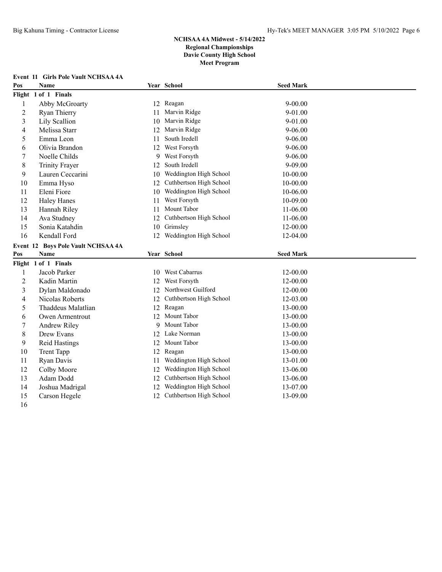|                | <b>Event 11 Girls Pole Vault NCHSAA 4A</b> |    |                         |                  |  |
|----------------|--------------------------------------------|----|-------------------------|------------------|--|
| Pos            | <b>Name</b>                                |    | Year School             | <b>Seed Mark</b> |  |
|                | Flight 1 of 1 Finals                       |    |                         |                  |  |
| 1              | Abby McGroarty                             |    | 12 Reagan               | $9 - 00.00$      |  |
| $\overline{c}$ | Ryan Thierry                               | 11 | Marvin Ridge            | 9-01.00          |  |
| 3              | Lily Scallion                              | 10 | Marvin Ridge            | 9-01.00          |  |
| 4              | Melissa Starr                              | 12 | Marvin Ridge            | 9-06.00          |  |
| 5              | Emma Leon                                  | 11 | South Iredell           | 9-06.00          |  |
| 6              | Olivia Brandon                             | 12 | West Forsyth            | 9-06.00          |  |
| 7              | Noelle Childs                              | 9  | West Forsyth            | 9-06.00          |  |
| 8              | <b>Trinity Frayer</b>                      | 12 | South Iredell           | 9-09.00          |  |
| 9              | Lauren Ceccarini                           | 10 | Weddington High School  | 10-00.00         |  |
| 10             | Emma Hyso                                  | 12 | Cuthbertson High School | 10-00.00         |  |
| 11             | Eleni Fiore                                | 10 | Weddington High School  | 10-06.00         |  |
| 12             | <b>Haley Hanes</b>                         | 11 | West Forsyth            | 10-09.00         |  |
| 13             | Hannah Riley                               | 11 | Mount Tabor             | 11-06.00         |  |
| 14             | Ava Studney                                | 12 | Cuthbertson High School | 11-06.00         |  |
| 15             | Sonia Katahdin                             | 10 | Grimsley                | 12-00.00         |  |
| 16             | Kendall Ford                               | 12 | Weddington High School  | 12-04.00         |  |
|                |                                            |    |                         |                  |  |
|                | Event 12 Boys Pole Vault NCHSAA 4A         |    |                         |                  |  |
| Pos            | <b>Name</b>                                |    | Year School             | <b>Seed Mark</b> |  |
|                | Flight 1 of 1 Finals                       |    |                         |                  |  |
| 1              | Jacob Parker                               |    | 10 West Cabarrus        | 12-00.00         |  |
| $\overline{c}$ | Kadin Martin                               | 12 | West Forsyth            | 12-00.00         |  |
| 3              | Dylan Maldonado                            | 12 | Northwest Guilford      | 12-00.00         |  |
| 4              | Nicolas Roberts                            | 12 | Cuthbertson High School | 12-03.00         |  |
| 5              | Thaddeus Malatlian                         | 12 | Reagan                  | 13-00.00         |  |
| 6              | Owen Armentrout                            | 12 | Mount Tabor             | 13-00.00         |  |
| 7              | Andrew Riley                               | 9  | Mount Tabor             | 13-00.00         |  |
| 8              | Drew Evans                                 | 12 | Lake Norman             | 13-00.00         |  |
| 9              | Reid Hastings                              | 12 | Mount Tabor             | 13-00.00         |  |
| 10             | <b>Trent Tapp</b>                          | 12 | Reagan                  | 13-00.00         |  |
| 11             | Ryan Davis                                 | 11 | Weddington High School  | 13-01.00         |  |
| 12             | Colby Moore                                | 12 | Weddington High School  | 13-06.00         |  |
| 13             | Adam Dodd                                  | 12 | Cuthbertson High School | 13-06.00         |  |
| 14             | Joshua Madrigal                            | 12 | Weddington High School  | 13-07.00         |  |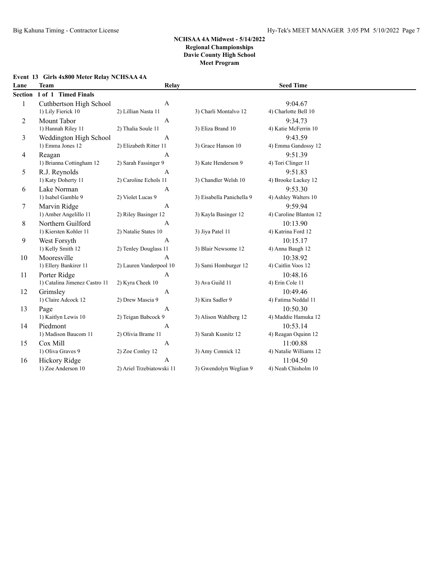#### **Event 13 Girls 4x800 Meter Relay NCHSAA 4A**

| Lane    | <b>Team</b>                   | <b>Relay</b>              |                           | <b>Seed Time</b>       |  |
|---------|-------------------------------|---------------------------|---------------------------|------------------------|--|
| Section | 1 of 1 Timed Finals           |                           |                           |                        |  |
| 1       | Cuthbertson High School       | $\overline{A}$            |                           | 9:04.67                |  |
|         | 1) Lily Fierick 10            | 2) Lillian Nasta 11       | 3) Charli Montalvo 12     | 4) Charlotte Bell 10   |  |
| 2       | Mount Tabor                   | $\mathbf{A}$              |                           | 9:34.73                |  |
|         | 1) Hannah Riley 11            | 2) Thalia Soule 11        | 3) Eliza Brand 10         | 4) Katie McFerrin 10   |  |
| 3       | Weddington High School        | A                         |                           | 9:43.59                |  |
|         | 1) Emma Jones 12              | 2) Elizabeth Ritter 11    | 3) Grace Hanson 10        | 4) Emma Gandossy 12    |  |
| 4       | Reagan                        | A                         |                           | 9:51.39                |  |
|         | 1) Brianna Cottingham 12      | 2) Sarah Fassinger 9      | 3) Kate Henderson 9       | 4) Tori Clinger 11     |  |
| 5       | R.J. Reynolds                 | $\overline{A}$            |                           | 9:51.83                |  |
|         | 1) Katy Doherty 11            | 2) Caroline Echols 11     | 3) Chandler Welsh 10      | 4) Brooke Lackey 12    |  |
| 6       | Lake Norman                   | $\overline{A}$            |                           | 9:53.30                |  |
|         | 1) Isabel Gamble 9            | 2) Violet Lucas 9         | 3) Eisabella Panichella 9 | 4) Ashley Walters 10   |  |
| 7       | Marvin Ridge                  | $\mathbf{A}$              |                           | 9:59.94                |  |
|         | 1) Amber Angelillo 11         | 2) Riley Basinger 12      | 3) Kayla Basinger 12      | 4) Caroline Blanton 12 |  |
| 8       | Northern Guilford             | $\overline{A}$            |                           | 10:13.90               |  |
|         | 1) Kiersten Kohler 11         | 2) Natalie States 10      | 3) Jiya Patel 11          | 4) Katrina Ford 12     |  |
| 9       | West Forsyth                  | $\mathbf{A}$              |                           | 10:15.17               |  |
|         | 1) Kelly Smith 12             | 2) Tenley Douglass 11     | 3) Blair Newsome 12       | 4) Anna Baugh 12       |  |
| 10      | Mooresville                   | $\overline{A}$            |                           | 10:38.92               |  |
|         | 1) Ellery Bankirer 11         | 2) Lauren Vanderpool 10   | 3) Sami Homburger 12      | 4) Caitlin Voos 12     |  |
| 11      | Porter Ridge                  | $\mathbf{A}$              |                           | 10:48.16               |  |
|         | 1) Catalina Jimenez Castro 11 | 2) Kyra Cheek 10          | 3) Ava Guild 11           | 4) Erin Cole 11        |  |
| 12      | Grimsley                      | A                         |                           | 10:49.46               |  |
|         | 1) Claire Adcock 12           | 2) Drew Mascia 9          | 3) Kira Sadler 9          | 4) Fatima Neddal 11    |  |
| 13      | Page                          | $\overline{A}$            |                           | 10:50.30               |  |
|         | 1) Kaitlyn Lewis 10           | 2) Teigan Babcock 9       | 3) Alison Wahlberg 12     | 4) Maddie Hamuka 12    |  |
| 14      | Piedmont                      | A                         |                           | 10:53.14               |  |
|         | 1) Madison Baucom 11          | 2) Olivia Brame 11        | 3) Sarah Kusnitz 12       | 4) Reagan Oquinn 12    |  |
| 15      | Cox Mill                      | A                         |                           | 11:00.88               |  |
|         | 1) Oliva Graves 9             | 2) Zoe Conley 12          | 3) Amy Connick 12         | 4) Natalie Williams 12 |  |
| 16      | Hickory Ridge                 | $\overline{A}$            |                           | 11:04.50               |  |
|         | 1) Zoe Anderson 10            | 2) Ariel Trzebiatowski 11 | 3) Gwendolyn Weglian 9    | 4) Neah Chisholm 10    |  |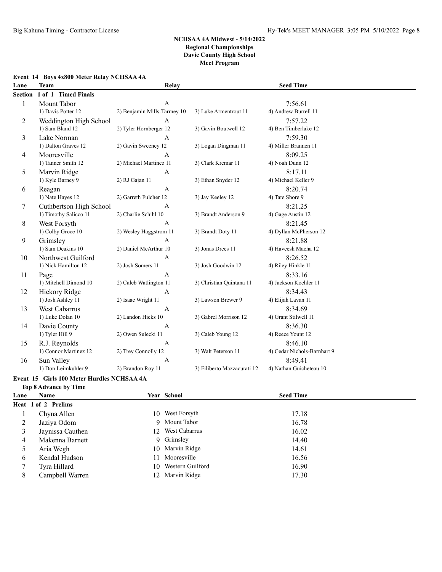#### **Event 14 Boys 4x800 Meter Relay NCHSAA 4A**

| Lane    | <b>Team</b>             | <b>Relay</b>                |                             | <b>Seed Time</b>            |  |
|---------|-------------------------|-----------------------------|-----------------------------|-----------------------------|--|
| Section | 1 of 1 Timed Finals     |                             |                             |                             |  |
| 1       | Mount Tabor             | $\overline{A}$              |                             | 7:56.61                     |  |
|         | 1) Davis Potter 12      | 2) Benjamin Mills-Tarmey 10 | 3) Luke Armentrout 11       | 4) Andrew Burrell 11        |  |
| 2       | Weddington High School  | $\mathbf{A}$                |                             | 7:57.22                     |  |
|         | 1) Sam Bland 12         | 2) Tyler Hornberger 12      | 3) Gavin Boutwell 12        | 4) Ben Timberlake 12        |  |
| 3       | Lake Norman             | $\overline{A}$              |                             | 7:59.30                     |  |
|         | 1) Dalton Graves 12     | 2) Gavin Sweeney 12         | 3) Logan Dingman 11         | 4) Miller Brannen 11        |  |
| 4       | Mooresville             | A                           |                             | 8:09.25                     |  |
|         | 1) Tanner Smith 12      | 2) Michael Martinez 11      | 3) Clark Kremar 11          | 4) Noah Dunn 12             |  |
| 5       | Marvin Ridge            | A                           |                             | 8:17.11                     |  |
|         | 1) Kyle Barney 9        | 2) RJ Gajan 11              | 3) Ethan Snyder 12          | 4) Michael Keller 9         |  |
| 6       | Reagan                  | $\overline{A}$              |                             | 8:20.74                     |  |
|         | 1) Nate Hayes 12        | 2) Garreth Fulcher 12       | 3) Jay Keeley 12            | 4) Tate Shore 9             |  |
| 7       | Cuthbertson High School | $\overline{A}$              |                             | 8:21.25                     |  |
|         | 1) Timothy Salicco 11   | 2) Charlie Schihl 10        | 3) Brandt Anderson 9        | 4) Gage Austin 12           |  |
| 8       | West Forsyth            | $\mathbf{A}$                |                             | 8:21.45                     |  |
|         | 1) Colby Groce 10       | 2) Wesley Haggstrom 11      | 3) Brandt Doty 11           | 4) Dyllan McPherson 12      |  |
| 9       | Grimsley                | $\overline{A}$              |                             | 8:21.88                     |  |
|         | 1) Sam Deakins 10       | 2) Daniel McArthur 10       | 3) Jonas Drees 11           | 4) Haveesh Macha 12         |  |
| 10      | Northwest Guilford      | A                           |                             | 8:26.52                     |  |
|         | 1) Nick Hamilton 12     | 2) Josh Somers 11           | 3) Josh Goodwin 12          | 4) Riley Hinkle 11          |  |
| 11      | Page                    | $\mathbf{A}$                |                             | 8:33.16                     |  |
|         | 1) Mitchell Dimond 10   | 2) Caleb Watlington 11      | 3) Christian Quintana 11    | 4) Jackson Koehler 11       |  |
| 12      | Hickory Ridge           | A                           |                             | 8:34.43                     |  |
|         | 1) Josh Ashley 11       | 2) Isaac Wright 11          | 3) Lawson Brewer 9          | 4) Elijah Lavan 11          |  |
| 13      | West Cabarrus           | $\overline{A}$              |                             | 8:34.69                     |  |
|         | 1) Luke Dolan 10        | 2) Landon Hicks 10          | 3) Gabrel Morrison 12       | 4) Grant Stilwell 11        |  |
| 14      | Davie County            | $\overline{A}$              |                             | 8:36.30                     |  |
|         | 1) Tyler Hill 9         | 2) Owen Sulecki 11          | 3) Caleb Young 12           | 4) Reece Yount 12           |  |
| 15      | R.J. Reynolds           | A                           |                             | 8:46.10                     |  |
|         | 1) Connor Martinez 12   | 2) Trey Connolly 12         | 3) Walt Peterson 11         | 4) Cedar Nichols-Barnhart 9 |  |
| 16      | Sun Valley              | $\mathbf{A}$                |                             | 8:49.41                     |  |
|         | 1) Don Leimkuhler 9     | 2) Brandon Roy 11           | 3) Filiberto Mazzacurati 12 | 4) Nathan Guicheteau 10     |  |

#### **Event 15 Girls 100 Meter Hurdles NCHSAA 4A Top 8 Advance by Time**

| Lane | <b>Name</b>         |    | Year School         | <b>Seed Time</b> |  |
|------|---------------------|----|---------------------|------------------|--|
|      | Heat 1 of 2 Prelims |    |                     |                  |  |
|      | Chyna Allen         | 10 | West Forsyth        | 17.18            |  |
| 2    | Jaziya Odom         |    | 9 Mount Tabor       | 16.78            |  |
| 3    | Jaynissa Cauthen    |    | 12 West Cabarrus    | 16.02            |  |
| 4    | Makenna Barnett     |    | 9 Grimsley          | 14.40            |  |
|      | Aria Wegh           |    | 10 Marvin Ridge     | 14.61            |  |
| 6    | Kendal Hudson       |    | 11 Mooresville      | 16.56            |  |
|      | Tyra Hillard        |    | 10 Western Guilford | 16.90            |  |
| 8    | Campbell Warren     |    | 12 Marvin Ridge     | 17.30            |  |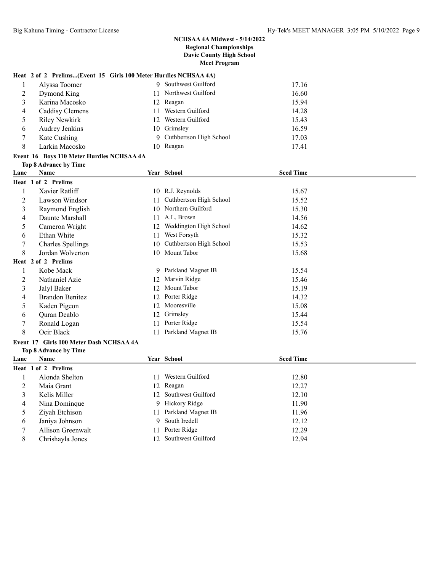#### **Heat 2 of 2 Prelims...(Event 15 Girls 100 Meter Hurdles NCHSAA 4A)**

|   | Alyssa Toomer        | -9 | Southwest Guilford        | 17.16 |
|---|----------------------|----|---------------------------|-------|
| 2 | Dymond King          |    | 11 Northwest Guilford     | 16.60 |
|   | Karina Macosko       |    | 12 Reagan                 | 15.94 |
| 4 | Caddisy Clemens      | 11 | Western Guilford          | 14.28 |
| 5 | <b>Riley Newkirk</b> |    | 12 Western Guilford       | 15.43 |
| 6 | Audrey Jenkins       |    | 10 Grimsley               | 16.59 |
|   | Kate Cushing         |    | 9 Cuthbertson High School | 17.03 |
| 8 | Larkin Macosko       | 10 | Reagan                    | 17.41 |

#### **Event 16 Boys 110 Meter Hurdles NCHSAA 4A**

|                | <b>Top 8 Advance by Time</b>            |    |                         |                  |
|----------------|-----------------------------------------|----|-------------------------|------------------|
| Lane           | <b>Name</b>                             |    | Year School             | <b>Seed Time</b> |
|                | Heat 1 of 2 Prelims                     |    |                         |                  |
| 1              | Xavier Ratliff                          |    | 10 R.J. Reynolds        | 15.67            |
| 2              | Lawson Windsor                          | 11 | Cuthbertson High School | 15.52            |
| 3              | Raymond English                         | 10 | Northern Guilford       | 15.30            |
| 4              | Daunte Marshall                         | 11 | A.L. Brown              | 14.56            |
| 5              | Cameron Wright                          | 12 | Weddington High School  | 14.62            |
| 6              | Ethan White                             | 11 | West Forsyth            | 15.32            |
| 7              | <b>Charles Spellings</b>                | 10 | Cuthbertson High School | 15.53            |
| 8              | Jordan Wolverton                        |    | 10 Mount Tabor          | 15.68            |
|                | Heat 2 of 2 Prelims                     |    |                         |                  |
| 1              | Kobe Mack                               |    | 9 Parkland Magnet IB    | 15.54            |
| $\overline{2}$ | Nathaniel Azie                          | 12 | Marvin Ridge            | 15.46            |
| $\mathfrak{Z}$ | Jalyl Baker                             | 12 | Mount Tabor             | 15.19            |
| 4              | <b>Brandon Benitez</b>                  | 12 | Porter Ridge            | 14.32            |
| 5              | Kaden Pigeon                            | 12 | Mooresville             | 15.08            |
| 6              | Quran Deablo                            | 12 | Grimsley                | 15.44            |
| 7              | Ronald Logan                            | 11 | Porter Ridge            | 15.54            |
| 8              | Ocir Black                              | 11 | Parkland Magnet IB      | 15.76            |
|                | Event 17 Girls 100 Meter Dash NCHSAA 4A |    |                         |                  |
|                | <b>Top 8 Advance by Time</b>            |    |                         |                  |
| Lane           | Name                                    |    | Year School             | <b>Seed Time</b> |
|                | Heat 1 of 2 Prelims                     |    |                         |                  |
| 1              | Alonda Shelton                          | 11 | Western Guilford        | 12.80            |
| 2              | Maia Grant                              | 12 | Reagan                  | 12.27            |
| 3              | Kelis Miller                            | 12 | Southwest Guilford      | 12.10            |
| 4              | Nina Dominque                           | 9  | Hickory Ridge           | 11.90            |
| 5              | Ziyah Etchison                          | 11 | Parkland Magnet IB      | 11.96            |
| 6              | Janiya Johnson                          | 9  | South Iredell           | 12.12            |
| 7              | Allison Greenwalt                       | 11 | Porter Ridge            | 12.29            |
| 8              | Chrishayla Jones                        | 12 | Southwest Guilford      | 12.94            |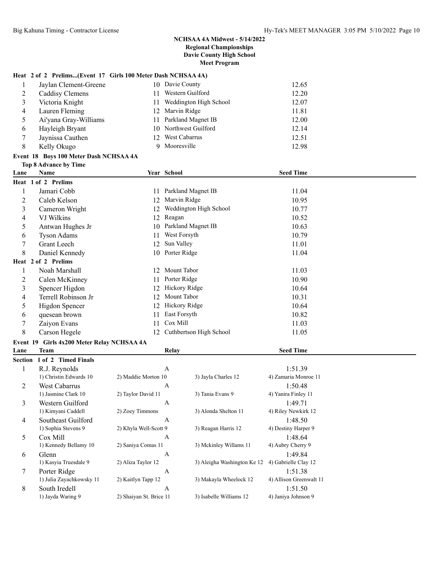# **Heat 2 of 2 Prelims...(Event 17 Girls 100 Meter Dash NCHSAA 4A)**

|   | Jaylan Clement-Greene |    | 10 Davie County        | 12.65 |
|---|-----------------------|----|------------------------|-------|
|   | Caddisy Clemens       |    | Western Guilford       | 12.20 |
|   | Victoria Knight       | 11 | Weddington High School | 12.07 |
| 4 | Lauren Fleming        |    | 12 Marvin Ridge        | 11.81 |
|   | Ai'yana Gray-Williams |    | Parkland Magnet IB     | 12.00 |
| 6 | Hayleigh Bryant       |    | 10 Northwest Guilford  | 12.14 |
|   | Jaynissa Cauthen      |    | <b>West Cabarrus</b>   | 12.51 |
| 8 | Kelly Okugo           |    | Mooresville            | 12.98 |

#### **Event 18 Boys 100 Meter Dash NCHSAA 4A Top 8 Advance by Time**

| Lane | Name                                                                       |              | Year School             | <b>Seed Time</b> |  |
|------|----------------------------------------------------------------------------|--------------|-------------------------|------------------|--|
|      | Heat 1 of 2 Prelims                                                        |              |                         |                  |  |
|      | Jamari Cobb                                                                | 11           | Parkland Magnet IB      | 11.04            |  |
| 2    | Caleb Kelson                                                               | 12           | Marvin Ridge            | 10.95            |  |
| 3    | Cameron Wright                                                             |              | Weddington High School  | 10.77            |  |
| 4    | VJ Wilkins                                                                 | 12           | Reagan                  | 10.52            |  |
| 5    | Antwan Hughes Jr                                                           | 10           | Parkland Magnet IB      | 10.63            |  |
| 6    | <b>Tyson Adams</b>                                                         | 11           | West Forsyth            | 10.79            |  |
| 7    | <b>Grant Leech</b>                                                         | 12           | Sun Valley              | 11.01            |  |
| 8    | Daniel Kennedy                                                             | 10           | Porter Ridge            | 11.04            |  |
|      | Heat 2 of 2 Prelims                                                        |              |                         |                  |  |
|      | Noah Marshall                                                              | 12.          | Mount Tabor             | 11.03            |  |
| 2    | Calen McKinney                                                             | 11           | Porter Ridge            | 10.90            |  |
| 3    | Spencer Higdon                                                             | 12           | Hickory Ridge           | 10.64            |  |
| 4    | Terrell Robinson Jr                                                        | 12           | Mount Tabor             | 10.31            |  |
| 5    | Higdon Spencer                                                             | 12           | Hickory Ridge           | 10.64            |  |
| 6    | quesean brown                                                              | 11           | East Forsyth            | 10.82            |  |
| 7    | Zaiyon Evans                                                               | 11           | Cox Mill                | 11.03            |  |
| 8    | Carson Hegele                                                              | 12.          | Cuthbertson High School | 11.05            |  |
|      | $\sim$ 40 $\sim$ $\sim$ $\sim$ $\sim$ $\sim$ $\sim$ $\sim$<br>$\mathbf{r}$ | $\mathbf{X}$ |                         |                  |  |

# **Event 19 Girls 4x200 Meter Relay NCHSAA 4A**

| Lane    | <b>Team</b>              | Relay                   |                             | <b>Seed Time</b>        |  |
|---------|--------------------------|-------------------------|-----------------------------|-------------------------|--|
| Section | 1 of 2 Timed Finals      |                         |                             |                         |  |
|         | R.J. Reynolds            | A                       |                             | 1:51.39                 |  |
|         | 1) Christin Edwards 10   | 2) Maddie Morton 10     | 3) Jayla Charles 12         | 4) Zamaria Monroe 11    |  |
| 2       | West Cabarrus            | A                       |                             | 1:50.48                 |  |
|         | 1) Jasmine Clark 10      | 2) Taylor David 11      | 3) Tania Evans 9            | 4) Yanira Finley 11     |  |
| 3       | Western Guilford         | $\mathbf{A}$            |                             | 1:49.71                 |  |
|         | 1) Kimyani Caddell       | 2) Zoey Timmons         | 3) Alonda Shelton 11        | 4) Riley Newkirk 12     |  |
| 4       | Southeast Guilford       | $\mathbf{A}$            |                             | 1:48.50                 |  |
|         | 1) Sophia Stevens 9      | 2) Khyla Well-Scott 9   | 3) Reagan Harris 12         | 4) Destiny Harper 9     |  |
| 5       | Cox Mill                 | A                       |                             | 1:48.64                 |  |
|         | 1) Kennedy Bellamy 10    | 2) Saniya Comas 11      | 3) Mckinley Willams 11      | 4) Aubry Cherry 9       |  |
| 6       | Glenn                    | A                       |                             | 1:49.84                 |  |
|         | 1) Kasyia Truesdale 9    | 2) Aliza Taylor 12      | 3) Aleigha Washington Ke 12 | 4) Gabrielle Clay 12    |  |
| 7       | Porter Ridge             | A                       |                             | 1:51.38                 |  |
|         | 1) Julia Zayachkowsky 11 | 2) Kaitlyn Tapp 12      | 3) Makayla Wheelock 12      | 4) Allison Greenwalt 11 |  |
| 8       | South Iredell            | A                       |                             | 1:51.50                 |  |
|         | 1) Jayda Waring 9        | 2) Shaiyan St. Brice 11 | 3) Isabelle Williams 12     | 4) Janiya Johnson 9     |  |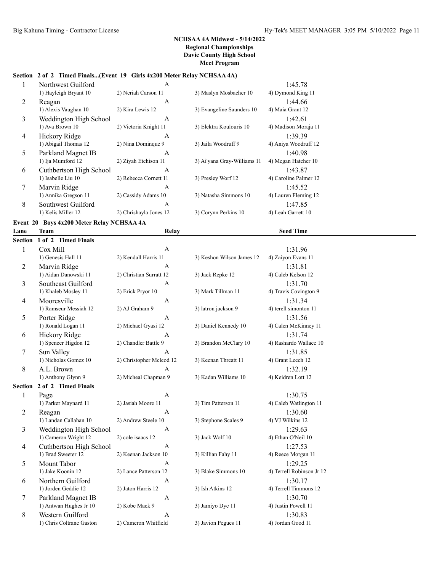# **Section 2 of 2 Timed Finals...(Event 19 Girls 4x200 Meter Relay NCHSAA 4A)**

|                | Northwest Guilford      | A                     |                             | 1:45.78               |
|----------------|-------------------------|-----------------------|-----------------------------|-----------------------|
|                | 1) Hayleigh Bryant 10   | 2) Neriah Carson 11   | 3) Maslyn Mosbacher 10      | 4) Dymond King 11     |
| 2              | Reagan                  | $\mathsf{A}$          |                             | 1:44.66               |
|                | 1) Alexis Vaughan 10    | 2) Kira Lewis 12      | 3) Evangeline Saunders 10   | 4) Maia Grant 12      |
| 3              | Weddington High School  | $\mathsf{A}$          |                             | 1:42.61               |
|                | 1) Ava Brown 10         | 2) Victoria Knight 11 | 3) Elektra Koulouris 10     | 4) Madison Moraja 11  |
| $\overline{4}$ | Hickory Ridge           | $\mathsf{A}$          |                             | 1:39.39               |
|                | 1) Abigail Thomas 12    | 2) Nina Dominque 9    | 3) Jaila Woodruff 9         | 4) Aniya Woodruff 12  |
| 5              | Parkland Magnet IB      | $\mathsf{A}$          |                             | 1:40.98               |
|                | 1) Ija Mumford 12       | 2) Ziyah Etchison 11  | 3) Ai'yana Gray-Williams 11 | 4) Megan Hatcher 10   |
| 6              | Cuthbertson High School | A                     |                             | 1:43.87               |
|                | 1) Isabelle Liu 10      | 2) Rebecca Cornett 11 | 3) Presley Worf 12          | 4) Caroline Palmer 12 |
| 7              | Marvin Ridge            | $\mathsf{A}$          |                             | 1:45.52               |
|                | 1) Annika Gregson 11    | 2) Cassidy Adams 10   | 3) Natasha Simmons 10       | 4) Lauren Fleming 12  |
| 8              | Southwest Guilford      | A                     |                             | 1:47.85               |
|                |                         |                       |                             |                       |

# **Event 20 Boys 4x200 Meter Relay NCHSAA 4A**

| Lane           | <b>Team</b>              | Relay                    |                           | <b>Seed Time</b>          |  |
|----------------|--------------------------|--------------------------|---------------------------|---------------------------|--|
| <b>Section</b> | 1 of 2 Timed Finals      |                          |                           |                           |  |
| $\mathbf{1}$   | Cox Mill                 | $\mathbf{A}$             |                           | 1:31.96                   |  |
|                | 1) Genesis Hall 11       | 2) Kendall Harris 11     | 3) Keshon Wilson James 12 | 4) Zaiyon Evans 11        |  |
| 2              | Marvin Ridge             | A                        |                           | 1:31.81                   |  |
|                | 1) Aidan Danowski 11     | 2) Christian Surratt 12  | 3) Jack Repke 12          | 4) Caleb Kelson 12        |  |
| 3              | Southeast Guilford       | $\mathbf{A}$             |                           | 1:31.70                   |  |
|                | 1) Khaleb Mosley 11      | 2) Erick Pryor 10        | 3) Mark Tillman 11        | 4) Travis Covington 9     |  |
| $\overline{4}$ | Mooresville              | $\mathbf{A}$             |                           | 1:31.34                   |  |
|                | 1) Ramseur Messiah 12    | 2) AJ Graham 9           | 3) latron jackson 9       | 4) terell simonton 11     |  |
| 5              | Porter Ridge             | $\mathbf{A}$             |                           | 1:31.56                   |  |
|                | 1) Ronald Logan 11       | 2) Michael Gyasi 12      | 3) Daniel Kennedy 10      | 4) Calen McKinney 11      |  |
| 6              | Hickory Ridge            | $\mathbf{A}$             |                           | 1:31.74                   |  |
|                | 1) Spencer Higdon 12     | 2) Chandler Battle 9     | 3) Brandon McClary 10     | 4) Rashardo Wallace 10    |  |
| $\tau$         | Sun Valley               | $\mathsf{A}$             |                           | 1:31.85                   |  |
|                | 1) Nicholas Gomez 10     | 2) Christopher Mcleod 12 | 3) Keenan Threatt 11      | 4) Grant Leech 12         |  |
| 8              | A.L. Brown               | A                        |                           | 1:32.19                   |  |
|                | 1) Anthony Glynn 9       | 2) Micheal Chapman 9     | 3) Kadan Williams 10      | 4) Keidren Lott 12        |  |
| Section        | 2 of 2 Timed Finals      |                          |                           |                           |  |
| $\mathbf{1}$   | Page                     | $\mathbf{A}$             |                           | 1:30.75                   |  |
|                | 1) Parker Maynard 11     | 2) Jasiah Moore 11       | 3) Tim Patterson 11       | 4) Caleb Watlington 11    |  |
| $\overline{2}$ | Reagan                   | A                        |                           | 1:30.60                   |  |
|                | 1) Landan Callahan 10    | 2) Andrew Steele 10      | 3) Stephone Scales 9      | 4) VJ Wilkins 12          |  |
| 3              | Weddington High School   | A                        |                           | 1:29.63                   |  |
|                | 1) Cameron Wright 12     | 2) cole isaacs 12        | 3) Jack Wolf 10           | 4) Ethan O'Neil 10        |  |
| $\overline{4}$ | Cuthbertson High School  | $\mathbf{A}$             |                           | 1:27.53                   |  |
|                | 1) Brad Sweeter 12       | 2) Keenan Jackson 10     | 3) Killian Fahy 11        | 4) Reece Morgan 11        |  |
| 5              | Mount Tabor              | A                        |                           | 1:29.25                   |  |
|                | 1) Jake Koonin 12        | 2) Lance Patterson 12    | 3) Blake Simmons 10       | 4) Terrell Robinson Jr 12 |  |
| 6              | Northern Guilford        | A                        |                           | 1:30.17                   |  |
|                | 1) Jorden Geddie 12      | 2) Jaton Harris 12       | 3) Ish Atkins 12          | 4) Terrell Timmons 12     |  |
| $\tau$         | Parkland Magnet IB       | $\mathbf{A}$             |                           | 1:30.70                   |  |
|                | 1) Antwan Hughes Jr 10   | 2) Kobe Mack 9           | 3) Jamiyo Dye 11          | 4) Justin Powell 11       |  |
| 8              | Western Guilford         | $\mathbf{A}$             |                           | 1:30.83                   |  |
|                | 1) Chris Coltrane Gaston | 2) Cameron Whitfield     | 3) Javion Pegues 11       | 4) Jordan Good 11         |  |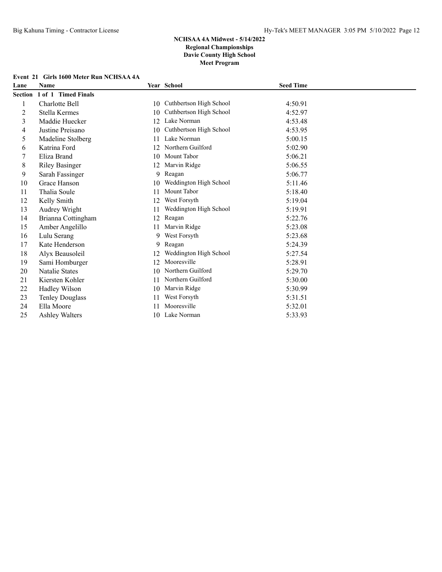|  |  |  | Event 21 Girls 1600 Meter Run NCHSAA 4A |  |
|--|--|--|-----------------------------------------|--|
|--|--|--|-----------------------------------------|--|

| Lane    | <b>Name</b>            |    | Year School             | <b>Seed Time</b> |
|---------|------------------------|----|-------------------------|------------------|
| Section | 1 of 1 Timed Finals    |    |                         |                  |
| 1       | Charlotte Bell         | 10 | Cuthbertson High School | 4:50.91          |
| 2       | Stella Kermes          | 10 | Cuthbertson High School | 4:52.97          |
| 3       | Maddie Huecker         | 12 | Lake Norman             | 4:53.48          |
| 4       | Justine Preisano       | 10 | Cuthbertson High School | 4:53.95          |
| 5       | Madeline Stolberg      | 11 | Lake Norman             | 5:00.15          |
| 6       | Katrina Ford           | 12 | Northern Guilford       | 5:02.90          |
|         | Eliza Brand            | 10 | Mount Tabor             | 5:06.21          |
| 8       | <b>Riley Basinger</b>  | 12 | Marvin Ridge            | 5:06.55          |
| 9       | Sarah Fassinger        | 9  | Reagan                  | 5:06.77          |
| 10      | Grace Hanson           | 10 | Weddington High School  | 5:11.46          |
| 11      | Thalia Soule           | 11 | Mount Tabor             | 5:18.40          |
| 12      | Kelly Smith            | 12 | West Forsyth            | 5:19.04          |
| 13      | Audrey Wright          | 11 | Weddington High School  | 5:19.91          |
| 14      | Brianna Cottingham     | 12 | Reagan                  | 5:22.76          |
| 15      | Amber Angelillo        | 11 | Marvin Ridge            | 5:23.08          |
| 16      | Lulu Serang            | 9  | West Forsyth            | 5:23.68          |
| 17      | Kate Henderson         | 9  | Reagan                  | 5:24.39          |
| 18      | Alyx Beausoleil        | 12 | Weddington High School  | 5:27.54          |
| 19      | Sami Homburger         | 12 | Mooresville             | 5:28.91          |
| 20      | Natalie States         | 10 | Northern Guilford       | 5:29.70          |
| 21      | Kiersten Kohler        | 11 | Northern Guilford       | 5:30.00          |
| 22      | Hadley Wilson          | 10 | Marvin Ridge            | 5:30.99          |
| 23      | <b>Tenley Douglass</b> | 11 | West Forsyth            | 5:31.51          |
| 24      | Ella Moore             | 11 | Mooresville             | 5:32.01          |
| 25      | <b>Ashley Walters</b>  | 10 | Lake Norman             | 5:33.93          |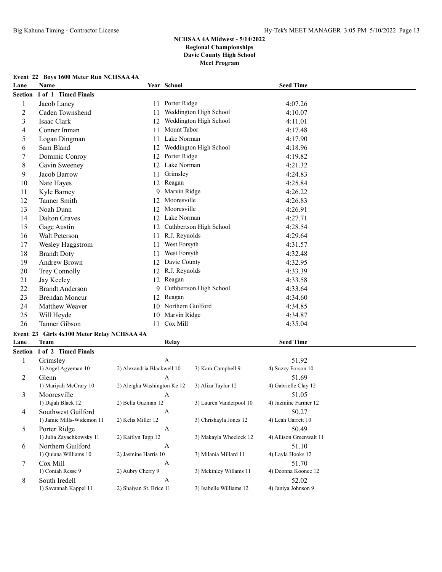# **Event 22 Boys 1600 Meter Run NCHSAA 4A**

| Lane                    | Name                                       | Year School                              |                         | <b>Seed Time</b>           |  |
|-------------------------|--------------------------------------------|------------------------------------------|-------------------------|----------------------------|--|
|                         | Section 1 of 1 Timed Finals                |                                          |                         |                            |  |
| 1                       | Jacob Laney                                | 11                                       | Porter Ridge            | 4:07.26                    |  |
| $\overline{\mathbf{c}}$ | Caden Townshend                            | 11                                       | Weddington High School  | 4:10.07                    |  |
| 3                       | Isaac Clark                                | 12                                       | Weddington High School  | 4:11.01                    |  |
| 4                       | Conner Inman                               | 11                                       | Mount Tabor             | 4:17.48                    |  |
| 5                       | Logan Dingman                              | 11                                       | Lake Norman             | 4:17.90                    |  |
| 6                       | Sam Bland                                  | 12                                       | Weddington High School  | 4:18.96                    |  |
| 7                       | Dominic Conroy                             | 12                                       | Porter Ridge            | 4:19.82                    |  |
| $\,8\,$                 | Gavin Sweeney                              | 12                                       | Lake Norman             | 4:21.32                    |  |
| 9                       | Jacob Barrow                               | 11                                       | Grimsley                | 4:24.83                    |  |
| 10                      | Nate Hayes                                 | 12                                       | Reagan                  | 4:25.84                    |  |
| 11                      | Kyle Barney                                | 9                                        | Marvin Ridge            | 4:26.22                    |  |
| 12                      | Tanner Smith                               | 12                                       | Mooresville             | 4:26.83                    |  |
| 13                      | Noah Dunn                                  | 12                                       | Mooresville             | 4:26.91                    |  |
| 14                      | <b>Dalton Graves</b>                       | 12                                       | Lake Norman             | 4:27.71                    |  |
| 15                      | Gage Austin                                | 12                                       | Cuthbertson High School | 4:28.54                    |  |
| 16                      | Walt Peterson                              | 11                                       | R.J. Reynolds           | 4:29.64                    |  |
| 17                      | Wesley Haggstrom                           | 11                                       | West Forsyth            | 4:31.57                    |  |
| 18                      | <b>Brandt Doty</b>                         | 11                                       | West Forsyth            | 4:32.48                    |  |
| 19                      | Andrew Brown                               | 12                                       | Davie County            | 4:32.95                    |  |
| 20                      | Trey Connolly                              |                                          | 12 R.J. Reynolds        | 4:33.39                    |  |
| 21                      | Jay Keeley                                 | 12 Reagan                                |                         | 4:33.58                    |  |
| 22                      | <b>Brandt Anderson</b>                     | 9                                        | Cuthbertson High School | 4:33.64                    |  |
| 23                      | <b>Brendan Moncur</b>                      | 12                                       | Reagan                  | 4:34.60                    |  |
| 24                      | Matthew Weaver                             | 10                                       | Northern Guilford       | 4:34.85                    |  |
| 25                      | Will Heyde                                 | 10                                       | Marvin Ridge            | 4:34.87                    |  |
| 26                      | Tanner Gibson                              | 11                                       | Cox Mill                | 4:35.04                    |  |
|                         | Event 23 Girls 4x100 Meter Relay NCHSAA 4A |                                          |                         |                            |  |
| Lane                    | <b>Team</b>                                |                                          | Relay                   | <b>Seed Time</b>           |  |
|                         | Section 1 of 2 Timed Finals                |                                          |                         |                            |  |
| 1                       | Grimsley                                   | A                                        |                         | 51.92                      |  |
|                         | 1) Angel Agyeman 10                        | 2) Alexandria Blackwell 10               | 3) Kam Campbell 9       | 4) Suzzy Forson 10         |  |
| 2                       | Glenn                                      | A                                        |                         | 51.69                      |  |
|                         | 1) Mariyah McCrary 10                      | 2) Aleigha Washington Ke 12              | 3) Aliza Taylor 12      | 4) Gabrielle Clay 12       |  |
| 3                       | Mooresville                                | A                                        |                         | 51.05                      |  |
|                         | 1) Dajah Black 12                          | 2) Bella Guzman 12                       | 3) Lauren Vanderpool 10 | 4) Jazmine Farmer 12       |  |
| 4                       | Southwest Guilford                         | $\mathbf{A}$                             |                         | 50.27                      |  |
|                         | 1) Jamie Mills-Widemon 11                  | 2) Kelis Miller 12                       | 3) Chrishayla Jones 12  | 4) Leah Garrett 10         |  |
| 5                       | Porter Ridge                               | $\boldsymbol{A}$                         |                         | 50.49                      |  |
|                         | 1) Julia Zayachkowsky 11                   | 2) Kaitlyn Tapp 12                       | 3) Makayla Wheelock 12  | 4) Allison Greenwalt 11    |  |
| 6                       | Northern Guilford<br>1) Quiana Williams 10 | $\boldsymbol{A}$<br>2) Jasmine Harris 10 | 3) Milania Millard 11   | 51.10                      |  |
|                         | Cox Mill                                   |                                          |                         | 4) Layla Hooks 12<br>51.70 |  |
| 7                       | 1) Coniah Resse 9                          | A<br>2) Aubry Cherry 9                   | 3) Mckinley Willams 11  | 4) Deonna Koonce 12        |  |
| 8                       | South Iredell                              | $\mathbf{A}$                             |                         | 52.02                      |  |
|                         | 1) Savannah Kappel 11                      | 2) Shaiyan St. Brice 11                  | 3) Isabelle Williams 12 | 4) Janiya Johnson 9        |  |
|                         |                                            |                                          |                         |                            |  |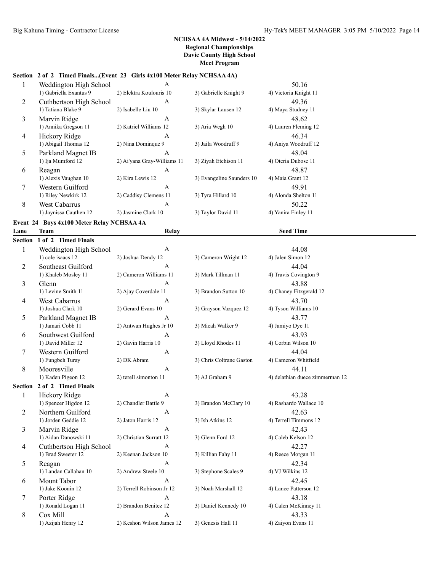# **Section 2 of 2 Timed Finals...(Event 23 Girls 4x100 Meter Relay NCHSAA 4A)**

|   | Weddington High School  | A                           |                           | 50.16                 |
|---|-------------------------|-----------------------------|---------------------------|-----------------------|
|   | 1) Gabriella Exantus 9  | 2) Elektra Koulouris 10     | 3) Gabrielle Knight 9     | 4) Victoria Knight 11 |
| 2 | Cuthbertson High School | A                           |                           | 49.36                 |
|   | 1) Tatiana Blake 9      | 2) Isabelle Liu 10          | 3) Skylar Lausen 12       | 4) Maya Studney 11    |
| 3 | Marvin Ridge            | A                           |                           | 48.62                 |
|   | 1) Annika Gregson 11    | 2) Katriel Williams 12      | 3) Aria Wegh 10           | 4) Lauren Fleming 12  |
| 4 | Hickory Ridge           | A                           |                           | 46.34                 |
|   | 1) Abigail Thomas 12    | 2) Nina Dominque 9          | 3) Jaila Woodruff 9       | 4) Aniya Woodruff 12  |
| 5 | Parkland Magnet IB      | A                           |                           | 48.04                 |
|   | 1) Ija Mumford 12       | 2) Ai'yana Gray-Williams 11 | 3) Ziyah Etchison 11      | 4) Oteria Dubose 11   |
| 6 | Reagan                  | A                           |                           | 48.87                 |
|   | 1) Alexis Vaughan 10    | 2) Kira Lewis 12            | 3) Evangeline Saunders 10 | 4) Maia Grant 12      |
| 7 | Western Guilford        | A                           |                           | 49.91                 |
|   | 1) Riley Newkirk 12     | 2) Caddisy Clemens 11       | 3) Tyra Hillard 10        | 4) Alonda Shelton 11  |
| 8 | <b>West Cabarrus</b>    | A                           |                           | 50.22                 |
|   | 1) Jaynissa Cauthen 12  | 2) Jasmine Clark 10         | 3) Taylor David 11        | 4) Yanira Finley 11   |

# **Event 24 Boys 4x100 Meter Relay NCHSAA 4A**

| Lane           | <b>Team</b>             | Relay                     |                          | <b>Seed Time</b>                |  |  |
|----------------|-------------------------|---------------------------|--------------------------|---------------------------------|--|--|
| Section        | 1 of 2 Timed Finals     |                           |                          |                                 |  |  |
| 1              | Weddington High School  | A                         |                          | 44.08                           |  |  |
|                | 1) cole isaacs 12       | 2) Joshua Dendy 12        | 3) Cameron Wright 12     | 4) Jalen Simon 12               |  |  |
| $\overline{2}$ | Southeast Guilford      | A                         |                          | 44.04                           |  |  |
|                | 1) Khaleb Mosley 11     | 2) Cameron Williams 11    | 3) Mark Tillman 11       | 4) Travis Covington 9           |  |  |
| $\overline{3}$ | Glenn                   | $\overline{A}$            |                          | 43.88                           |  |  |
|                | 1) Levine Smith 11      | 2) Ajay Coverdale 11      | 3) Brandon Sutton 10     | 4) Chaney Fitzgerald 12         |  |  |
| 4              | West Cabarrus           | $\mathbf{A}$              |                          | 43.70                           |  |  |
|                | 1) Joshua Clark 10      | 2) Gerard Evans 10        | 3) Grayson Vazquez 12    | 4) Tyson Williams 10            |  |  |
| 5              | Parkland Magnet IB      | $\mathsf{A}$              |                          | 43.77                           |  |  |
|                | 1) Jamari Cobb 11       | 2) Antwan Hughes Jr 10    | 3) Micah Walker 9        | 4) Jamiyo Dye 11                |  |  |
| 6              | Southwest Guilford      | $\mathbf{A}$              |                          | 43.93                           |  |  |
|                | 1) David Miller 12      | 2) Gavin Harris 10        | 3) Lloyd Rhodes 11       | 4) Corbin Wilson 10             |  |  |
| 7              | Western Guilford        | A                         |                          | 44.04                           |  |  |
|                | 1) Fungbeh Turay        | 2) DK Abram               | 3) Chris Coltrane Gaston | 4) Cameron Whitfield            |  |  |
| 8              | Mooresville             | A                         |                          | 44.11                           |  |  |
|                | 1) Kaden Pigeon 12      | 2) terell simonton 11     | 3) AJ Graham 9           | 4) delathian duece zimmerman 12 |  |  |
| Section        | 2 of 2 Timed Finals     |                           |                          |                                 |  |  |
| $\mathbf{1}$   | Hickory Ridge           | $\mathbf{A}$              |                          | 43.28                           |  |  |
|                | 1) Spencer Higdon 12    | 2) Chandler Battle 9      | 3) Brandon McClary 10    | 4) Rashardo Wallace 10          |  |  |
| $\overline{2}$ | Northern Guilford       | A                         |                          | 42.63                           |  |  |
|                | 1) Jorden Geddie 12     | 2) Jaton Harris 12        | 3) Ish Atkins 12         | 4) Terrell Timmons 12           |  |  |
| 3              | Marvin Ridge            | A                         |                          | 42.43                           |  |  |
|                | 1) Aidan Danowski 11    | 2) Christian Surratt 12   | 3) Glenn Ford 12         | 4) Caleb Kelson 12              |  |  |
| $\overline{4}$ | Cuthbertson High School | A                         |                          | 42.27                           |  |  |
|                | 1) Brad Sweeter 12      | 2) Keenan Jackson 10      | 3) Killian Fahy 11       | 4) Reece Morgan 11              |  |  |
| 5              | Reagan                  | A                         |                          | 42.34                           |  |  |
|                | 1) Landan Callahan 10   | 2) Andrew Steele 10       | 3) Stephone Scales 9     | 4) VJ Wilkins 12                |  |  |
| 6              | Mount Tabor             | A                         |                          | 42.45                           |  |  |
|                | 1) Jake Koonin 12       | 2) Terrell Robinson Jr 12 | 3) Noah Marshall 12      | 4) Lance Patterson 12           |  |  |
| $\tau$         | Porter Ridge            | A                         |                          | 43.18                           |  |  |
|                | 1) Ronald Logan 11      | 2) Brandon Benitez 12     | 3) Daniel Kennedy 10     | 4) Calen McKinney 11            |  |  |
| 8              | Cox Mill                | A                         |                          | 43.33                           |  |  |
|                | 1) Azijah Henry 12      | 2) Keshon Wilson James 12 | 3) Genesis Hall 11       | 4) Zaiyon Evans 11              |  |  |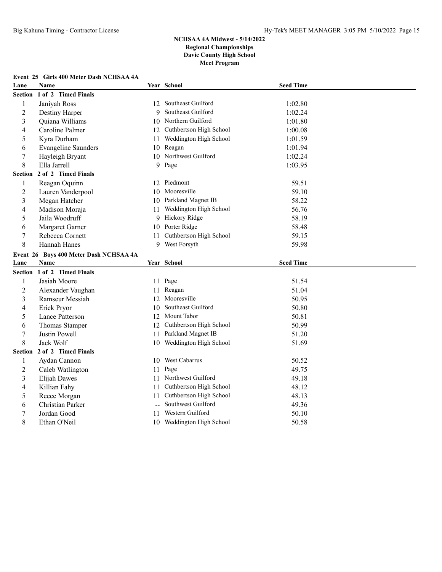# **Event 25 Girls 400 Meter Dash NCHSAA 4A**

| Lane                | <b>Name</b>                            |    | Year School                | <b>Seed Time</b> |  |
|---------------------|----------------------------------------|----|----------------------------|------------------|--|
| <b>Section</b>      | 1 of 2 Timed Finals                    |    |                            |                  |  |
| $\mathbf{1}$        | Janiyah Ross                           |    | 12 Southeast Guilford      | 1:02.80          |  |
| $\overline{c}$      | Destiny Harper                         | 9  | Southeast Guilford         | 1:02.24          |  |
| 3                   | Quiana Williams                        |    | 10 Northern Guilford       | 1:01.80          |  |
| 4                   | Caroline Palmer                        |    | 12 Cuthbertson High School | 1:00.08          |  |
| 5                   | Kyra Durham                            | 11 | Weddington High School     | 1:01.59          |  |
| 6                   | <b>Evangeline Saunders</b>             |    | 10 Reagan                  | 1:01.94          |  |
| 7                   | Hayleigh Bryant                        |    | 10 Northwest Guilford      | 1:02.24          |  |
| 8                   | Ella Jarrell                           |    | 9 Page                     | 1:03.95          |  |
| Section             | 2 of 2 Timed Finals                    |    |                            |                  |  |
| $\mathbf{1}$        | Reagan Oquinn                          |    | 12 Piedmont                | 59.51            |  |
| $\overline{2}$      | Lauren Vanderpool                      |    | 10 Mooresville             | 59.10            |  |
| 3                   | Megan Hatcher                          |    | 10 Parkland Magnet IB      | 58.22            |  |
| 4                   | Madison Moraja                         | 11 | Weddington High School     | 56.76            |  |
| 5                   | Jaila Woodruff                         |    | 9 Hickory Ridge            | 58.19            |  |
| 6                   | Margaret Garner                        |    | 10 Porter Ridge            | 58.48            |  |
| 7                   | Rebecca Cornett                        | 11 | Cuthbertson High School    | 59.15            |  |
| 8                   | Hannah Hanes                           |    | 9 West Forsyth             | 59.98            |  |
|                     | Event 26 Boys 400 Meter Dash NCHSAA 4A |    |                            |                  |  |
|                     |                                        |    |                            |                  |  |
| Lane                | Name                                   |    | Year School                | <b>Seed Time</b> |  |
| Section             | 1 of 2 Timed Finals                    |    |                            |                  |  |
| 1                   | Jasiah Moore                           |    |                            | 51.54            |  |
|                     |                                        | 11 | 11 Page<br>Reagan          | 51.04            |  |
| $\overline{c}$<br>3 | Alexander Vaughan<br>Ramseur Messiah   | 12 | Mooresville                | 50.95            |  |
| 4                   |                                        | 10 | Southeast Guilford         | 50.80            |  |
| 5                   | Erick Pryor<br>Lance Patterson         | 12 | Mount Tabor                | 50.81            |  |
| 6                   | Thomas Stamper                         | 12 | Cuthbertson High School    | 50.99            |  |
|                     | Justin Powell                          | 11 | Parkland Magnet IB         | 51.20            |  |
| 7<br>8              | Jack Wolf                              |    | 10 Weddington High School  | 51.69            |  |
| Section             | 2 of 2 Timed Finals                    |    |                            |                  |  |
| $\mathbf{1}$        | Aydan Cannon                           |    | 10 West Cabarrus           | 50.52            |  |
| $\overline{c}$      |                                        | 11 | Page                       | 49.75            |  |
| 3                   | Caleb Watlington                       |    | 11 Northwest Guilford      | 49.18            |  |
| 4                   | <b>Elijah Dawes</b>                    | 11 | Cuthbertson High School    | 48.12            |  |
| 5                   | Killian Fahy<br>Reece Morgan           | 11 | Cuthbertson High School    | 48.13            |  |
| 6                   | Christian Parker                       |    | Southwest Guilford         | 49.36            |  |
| 7                   | Jordan Good                            | 11 | Western Guilford           | 50.10            |  |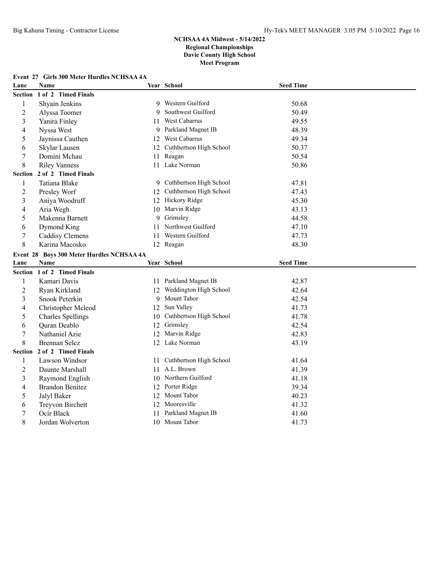# **Event 27 Girls 300 Meter Hurdles NCHSAA 4A**

| Lane                    | Name                                      |    | Year School                | <b>Seed Time</b> |  |
|-------------------------|-------------------------------------------|----|----------------------------|------------------|--|
| <b>Section</b>          | 1 of 2 Timed Finals                       |    |                            |                  |  |
| 1                       | Shyain Jenkins                            |    | 9 Western Guilford         | 50.68            |  |
| $\overline{c}$          | Alyssa Toomer                             | 9  | Southwest Guilford         | 50.49            |  |
| 3                       | Yanira Finley                             |    | 11 West Cabarrus           | 49.55            |  |
| 4                       | Nyssa West                                | 9  | Parkland Magnet IB         | 48.39            |  |
| 5                       | Jaynissa Cauthen                          | 12 | West Cabarrus              | 49.34            |  |
| 6                       | Skylar Lausen                             | 12 | Cuthbertson High School    | 50.37            |  |
| 7                       | Domini Mchau                              | 11 | Reagan                     | 50.54            |  |
| 8                       | <b>Riley Vanness</b>                      |    | 11 Lake Norman             | 50.86            |  |
| <b>Section</b>          | 2 of 2 Timed Finals                       |    |                            |                  |  |
| 1                       | Tatiana Blake                             |    | 9 Cuthbertson High School  | 47.81            |  |
| $\overline{c}$          | Presley Worf                              |    | 12 Cuthbertson High School | 47.43            |  |
| 3                       | Aniya Woodruff                            |    | 12 Hickory Ridge           | 45.30            |  |
| 4                       | Aria Wegh                                 |    | 10 Marvin Ridge            | 43.13            |  |
| 5                       | Makenna Barnett                           | 9  | Grimsley                   | 44.58            |  |
| 6                       | Dymond King                               |    | 11 Northwest Guilford      | 47.10            |  |
| 7                       | Caddisy Clemens                           |    | 11 Western Guilford        | 47.73            |  |
| 8                       | Karina Macosko                            |    | 12 Reagan                  | 48.30            |  |
|                         | Event 28 Boys 300 Meter Hurdles NCHSAA 4A |    |                            |                  |  |
|                         |                                           |    |                            |                  |  |
| Lane                    | <b>Name</b>                               |    | Year School                | <b>Seed Time</b> |  |
|                         | Section 1 of 2 Timed Finals               |    |                            |                  |  |
| 1                       | Kamari Davis                              |    | 11 Parkland Magnet IB      | 42.87            |  |
| $\overline{c}$          | Ryan Kirkland                             |    | 12 Weddington High School  | 42.64            |  |
| $\overline{3}$          | Snook Peterkin                            | 9  | Mount Tabor                | 42.54            |  |
| $\overline{\mathbf{4}}$ | Christopher Mcleod                        | 12 | Sun Valley                 | 41.73            |  |
| 5                       | <b>Charles Spellings</b>                  | 10 | Cuthbertson High School    | 41.78            |  |
| 6                       | Quran Deablo                              | 12 | Grimsley                   | 42.54            |  |
| 7                       | Nathaniel Azie                            | 12 | Marvin Ridge               | 42.83            |  |
| 8                       | <b>Brennan Selcz</b>                      |    | 12 Lake Norman             | 43.19            |  |
| Section                 | 2 of 2 Timed Finals                       |    |                            |                  |  |
| 1                       | Lawson Windsor                            |    | 11 Cuthbertson High School | 41.64            |  |
| $\overline{c}$          | Daunte Marshall                           |    | 11 A.L. Brown              | 41.39            |  |
| 3                       | Raymond English                           |    | 10 Northern Guilford       | 41.18            |  |
| 4                       | <b>Brandon Benitez</b>                    |    | 12 Porter Ridge            | 39.34            |  |
| 5                       | Jalyl Baker                               | 12 | Mount Tabor                | 40.23            |  |
| 6                       | Treyvon Birchett                          | 12 | Mooresville                | 41.32            |  |
| 7                       | Ocir Black                                | 11 | Parkland Magnet IB         | 41.60            |  |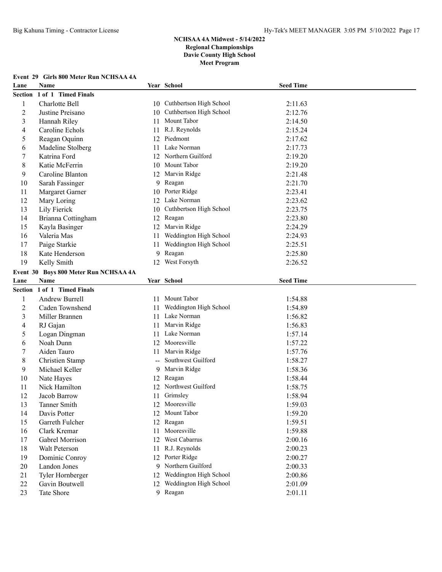#### **Event 29 Girls 800 Meter Run NCHSAA 4A**

| Lane           | Name                                  |    | Year School                | <b>Seed Time</b> |  |
|----------------|---------------------------------------|----|----------------------------|------------------|--|
| <b>Section</b> | 1 of 1 Timed Finals                   |    |                            |                  |  |
| 1              | Charlotte Bell                        |    | 10 Cuthbertson High School | 2:11.63          |  |
| $\overline{c}$ | Justine Preisano                      | 10 | Cuthbertson High School    | 2:12.76          |  |
| 3              | Hannah Riley                          |    | 11 Mount Tabor             | 2:14.50          |  |
| 4              | Caroline Echols                       | 11 | R.J. Reynolds              | 2:15.24          |  |
| 5              | Reagan Oquinn                         | 12 | Piedmont                   | 2:17.62          |  |
| 6              | Madeline Stolberg                     | 11 | Lake Norman                | 2:17.73          |  |
| 7              | Katrina Ford                          | 12 | Northern Guilford          | 2:19.20          |  |
| 8              | Katie McFerrin                        | 10 | Mount Tabor                | 2:19.20          |  |
| 9              | Caroline Blanton                      | 12 | Marvin Ridge               | 2:21.48          |  |
| 10             | Sarah Fassinger                       | 9  | Reagan                     | 2:21.70          |  |
| 11             | Margaret Garner                       | 10 | Porter Ridge               | 2:23.41          |  |
| 12             | Mary Loring                           | 12 | Lake Norman                | 2:23.62          |  |
| 13             | Lily Fierick                          | 10 | Cuthbertson High School    | 2:23.75          |  |
| 14             | Brianna Cottingham                    | 12 | Reagan                     | 2:23.80          |  |
| 15             | Kayla Basinger                        | 12 | Marvin Ridge               | 2:24.29          |  |
| 16             | Valeria Mas                           | 11 | Weddington High School     | 2:24.93          |  |
| 17             | Paige Starkie                         | 11 | Weddington High School     | 2:25.51          |  |
| 18             | Kate Henderson                        | 9  | Reagan                     | 2:25.80          |  |
| 19             | Kelly Smith                           |    | 12 West Forsyth            | 2:26.52          |  |
|                | Event 30 Boys 800 Meter Run NCHSAA 4A |    |                            |                  |  |
| Lane           | Name                                  |    | Year School                | <b>Seed Time</b> |  |
|                | Section 1 of 1 Timed Finals           |    |                            |                  |  |
| 1              | Andrew Burrell                        |    | 11 Mount Tabor             | 1:54.88          |  |
| $\overline{c}$ | Caden Townshend                       | 11 | Weddington High School     | 1:54.89          |  |
| 3              | Miller Brannen                        |    | 11 Lake Norman             | 1:56.82          |  |
| 4              | RJ Gajan                              | 11 | Marvin Ridge               | 1:56.83          |  |
| 5              | Logan Dingman                         | 11 | Lake Norman                | 1:57.14          |  |
| 6              | Noah Dunn                             | 12 | Mooresville                | 1:57.22          |  |
| $\overline{7}$ | Aiden Tauro                           | 11 | Marvin Ridge               | 1:57.76          |  |
| 8              | Christien Stamp                       |    | Southwest Guilford         | 1:58.27          |  |
| 9              | Michael Keller                        | 9  | Marvin Ridge               | 1:58.36          |  |
| 10             | Nate Hayes                            | 12 | Reagan                     | 1:58.44          |  |
| 11             | Nick Hamilton                         |    | 12 Northwest Guilford      | 1:58.75          |  |
| 12             | Jacob Barrow                          | 11 | Grimsley                   | 1:58.94          |  |
| 13             | Tanner Smith                          |    | 12 Mooresville             | 1:59.03          |  |
| 14             | Davis Potter                          |    | 12 Mount Tabor             | 1:59.20          |  |
| 15             | Garreth Fulcher                       |    | 12 Reagan                  | 1:59.51          |  |
| 16             | Clark Kremar                          |    | 11 Mooresville             | 1:59.88          |  |
| 17             | Gabrel Morrison                       |    | 12 West Cabarrus           | 2:00.16          |  |
| 18             | Walt Peterson                         |    | 11 R.J. Reynolds           | 2:00.23          |  |
| 19             | Dominic Conroy                        |    | 12 Porter Ridge            | 2:00.27          |  |
| 20             | Landon Jones                          |    | 9 Northern Guilford        | 2:00.33          |  |
| 21             | Tyler Hornberger                      | 12 | Weddington High School     | 2:00.86          |  |
| 22             | Gavin Boutwell                        |    | 12 Weddington High School  | 2:01.09          |  |
| 23             | Tate Shore                            |    | 9 Reagan                   | 2:01.11          |  |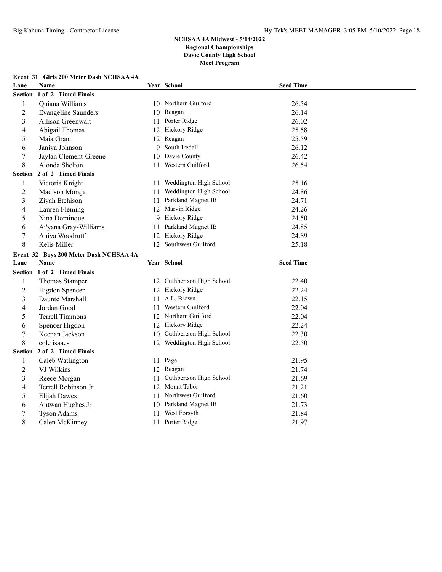# **Event 31 Girls 200 Meter Dash NCHSAA 4A Lane Name Year School Seed Time Section 1 of 2 Timed Finals** 1 Quiana Williams 10 Northern Guilford 26.54 2 Evangeline Saunders 10 Reagan 26.14 3 Allison Greenwalt 11 Porter Ridge 26.02 4 Abigail Thomas 12 Hickory Ridge 25.58 5 Maia Grant 12 Reagan 25.59 6 Janiya Johnson 9 South Iredell 26.12 7 Jaylan Clement-Greene 10 Davie County 26.42 8 Alonda Shelton 11 Western Guilford 26.54 **Section 2 of 2 Timed Finals** 1 Victoria Knight 11 Weddington High School 25.16 2 Madison Moraja 11 Weddington High School 24.86 3 Ziyah Etchison 11 Parkland Magnet IB 24.71 4 Lauren Fleming 12 Marvin Ridge 24.26 5 Nina Dominque 9 Hickory Ridge 24.50 6 Ai'yana Gray-Williams 11 Parkland Magnet IB 24.85 7 Aniya Woodruff 12 Hickory Ridge 24.89 8 Kelis Miller 12 Southwest Guilford 25.18 **Event 32 Boys 200 Meter Dash NCHSAA 4A Lane Name Year School Seed Time Section 1 of 2 Timed Finals** 1 Thomas Stamper 12 Cuthbertson High School 22.40 2 Higdon Spencer 12 Hickory Ridge 22.24 3 Daunte Marshall 11 A.L. Brown 22.15 4 Jordan Good 11 Western Guilford 22.04 5 Terrell Timmons 12 Northern Guilford 22.04 6 Spencer Higdon 12 Hickory Ridge 22.24 7 Keenan Jackson 10 Cuthbertson High School 22.30 8 cole isaacs 12 Weddington High School 22.50 **Section 2 of 2 Timed Finals** 1 Caleb Watlington 11 Page 21.95 2 VJ Wilkins 21.74 3 Reece Morgan 11 Cuthbertson High School 21.69 4 Terrell Robinson Jr 12 Mount Tabor 21.21 5 Elijah Dawes 11 Northwest Guilford 21.60 6 Antwan Hughes Jr 10 Parkland Magnet IB 21.73 7 Tyson Adams 11 West Forsyth 21.84

8 Calen McKinney 11 Porter Ridge 21.97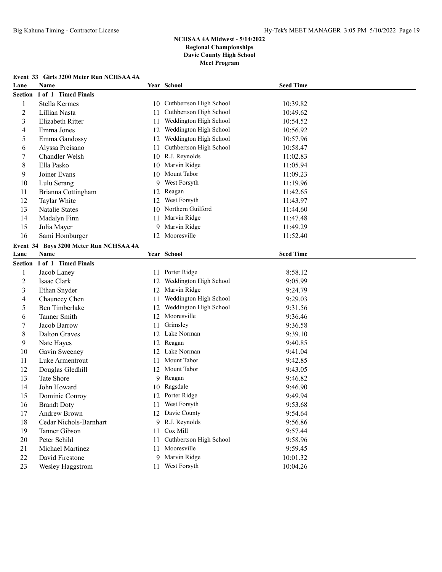#### **Event 33 Girls 3200 Meter Run NCHSAA 4A**

| Lane           | Name                                   |    | Year School                | <b>Seed Time</b> |  |
|----------------|----------------------------------------|----|----------------------------|------------------|--|
| <b>Section</b> | 1 of 1 Timed Finals                    |    |                            |                  |  |
| 1              | Stella Kermes                          | 10 | Cuthbertson High School    | 10:39.82         |  |
| $\sqrt{2}$     | Lillian Nasta                          | 11 | Cuthbertson High School    | 10:49.62         |  |
| 3              | Elizabeth Ritter                       | 11 | Weddington High School     | 10:54.52         |  |
| 4              | Emma Jones                             | 12 | Weddington High School     | 10:56.92         |  |
| 5              | Emma Gandossy                          | 12 | Weddington High School     | 10:57.96         |  |
| 6              | Alyssa Preisano                        | 11 | Cuthbertson High School    | 10:58.47         |  |
| 7              | Chandler Welsh                         | 10 | R.J. Reynolds              | 11:02.83         |  |
| $\,8\,$        | Ella Pasko                             | 10 | Marvin Ridge               | 11:05.94         |  |
| 9              | Joiner Evans                           | 10 | Mount Tabor                | 11:09.23         |  |
| 10             | Lulu Serang                            | 9  | West Forsyth               | 11:19.96         |  |
| 11             | Brianna Cottingham                     | 12 | Reagan                     | 11:42.65         |  |
| 12             | Taylar White                           | 12 | West Forsyth               | 11:43.97         |  |
| 13             | Natalie States                         | 10 | Northern Guilford          | 11:44.60         |  |
| 14             | Madalyn Finn                           | 11 | Marvin Ridge               | 11:47.48         |  |
| 15             | Julia Mayer                            | 9  | Marvin Ridge               | 11:49.29         |  |
| 16             | Sami Homburger                         | 12 | Mooresville                | 11:52.40         |  |
|                | Event 34 Boys 3200 Meter Run NCHSAA 4A |    |                            |                  |  |
| Lane           | Name                                   |    | Year School                | <b>Seed Time</b> |  |
| Section        | 1 of 1 Timed Finals                    |    |                            |                  |  |
| 1              | Jacob Laney                            | 11 | Porter Ridge               | 8:58.12          |  |
| $\overline{2}$ | Isaac Clark                            | 12 | Weddington High School     | 9:05.99          |  |
| 3              | Ethan Snyder                           | 12 | Marvin Ridge               | 9:24.79          |  |
| 4              | Chauncey Chen                          | 11 | Weddington High School     | 9:29.03          |  |
| 5              | Ben Timberlake                         | 12 | Weddington High School     | 9:31.56          |  |
| 6              | Tanner Smith                           | 12 | Mooresville                | 9:36.46          |  |
| 7              | Jacob Barrow                           | 11 | Grimsley                   | 9:36.58          |  |
| $\,8\,$        | <b>Dalton Graves</b>                   | 12 | Lake Norman                | 9:39.10          |  |
| 9              | Nate Hayes                             | 12 | Reagan                     | 9:40.85          |  |
| 10             | Gavin Sweeney                          | 12 | Lake Norman                | 9:41.04          |  |
| 11             | Luke Armentrout                        | 11 | Mount Tabor                | 9:42.85          |  |
| 12             | Douglas Gledhill                       | 12 | Mount Tabor                | 9:43.05          |  |
| 13             | Tate Shore                             | 9  | Reagan                     | 9:46.82          |  |
| 14             | John Howard                            | 10 | Ragsdale                   | 9:46.90          |  |
| 15             | Dominic Conroy                         | 12 | Porter Ridge               | 9:49.94          |  |
| 16             | <b>Brandt Doty</b>                     | 11 | West Forsyth               | 9:53.68          |  |
| 17             | Andrew Brown                           |    | 12 Davie County            | 9:54.64          |  |
| 18             | Cedar Nichols-Barnhart                 | 9. | R.J. Reynolds              | 9:56.86          |  |
| 19             | Tanner Gibson                          | 11 | Cox Mill                   | 9:57.44          |  |
| 20             | Peter Schihl                           |    | 11 Cuthbertson High School | 9:58.96          |  |
| 21             | Michael Martinez                       |    | 11 Mooresville             | 9:59.45          |  |
| 22             | David Firestone                        | 9. | Marvin Ridge               | 10:01.32         |  |
| 23             | Wesley Haggstrom                       |    | 11 West Forsyth            | 10:04.26         |  |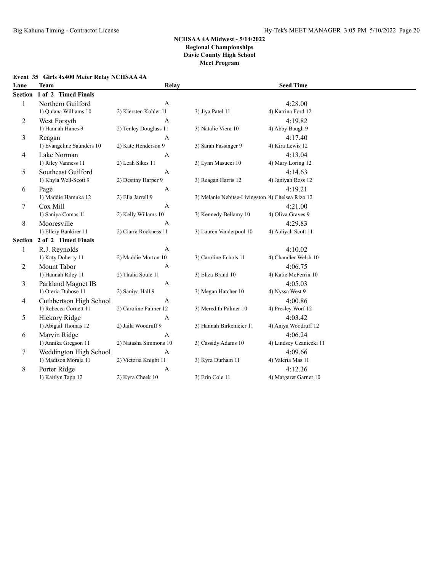# **Event 35 Girls 4x400 Meter Relay NCHSAA 4A**

| Lane    | <b>Team</b>               | Relay                 |                                                  | <b>Seed Time</b>        |  |
|---------|---------------------------|-----------------------|--------------------------------------------------|-------------------------|--|
| Section | 1 of 2 Timed Finals       |                       |                                                  |                         |  |
| 1       | Northern Guilford         | $\mathbf{A}$          |                                                  | 4:28.00                 |  |
|         | 1) Quiana Williams 10     | 2) Kiersten Kohler 11 | 3) Jiya Patel 11                                 | 4) Katrina Ford 12      |  |
| 2       | West Forsyth              | A                     |                                                  | 4:19.82                 |  |
|         | 1) Hannah Hanes 9         | 2) Tenley Douglass 11 | 3) Natalie Viera 10                              | 4) Abby Baugh 9         |  |
| 3       | Reagan                    | $\mathsf{A}$          |                                                  | 4:17.40                 |  |
|         | 1) Evangeline Saunders 10 | 2) Kate Henderson 9   | 3) Sarah Fassinger 9                             | 4) Kira Lewis 12        |  |
| 4       | Lake Norman               | $\mathbf{A}$          |                                                  | 4:13.04                 |  |
|         | 1) Riley Vanness 11       | 2) Leah Sikes 11      | 3) Lynn Masucci 10                               | 4) Mary Loring 12       |  |
| 5       | Southeast Guilford        | A                     |                                                  | 4:14.63                 |  |
|         | 1) Khyla Well-Scott 9     | 2) Destiny Harper 9   | 3) Reagan Harris 12                              | 4) Janiyah Ross 12      |  |
| 6       | Page                      | A                     |                                                  | 4:19.21                 |  |
|         | 1) Maddie Hamuka 12       | 2) Ella Jarrell 9     | 3) Melanie Nebitse-Livingston 4) Chelsea Rizo 12 |                         |  |
| 7       | Cox Mill                  | A                     |                                                  | 4:21.00                 |  |
|         | 1) Saniya Comas 11        | 2) Kelly Willams 10   | 3) Kennedy Bellamy 10                            | 4) Oliva Graves 9       |  |
| 8       | Mooresville               | $\mathbf{A}$          |                                                  | 4:29.83                 |  |
|         | 1) Ellery Bankirer 11     | 2) Ciarra Rockness 11 | 3) Lauren Vanderpool 10                          | 4) Aaliyah Scott 11     |  |
| Section | 2 of 2 Timed Finals       |                       |                                                  |                         |  |
| 1       | R.J. Reynolds             | $\mathbf{A}$          |                                                  | 4:10.02                 |  |
|         | 1) Katy Doherty 11        | 2) Maddie Morton 10   | 3) Caroline Echols 11                            | 4) Chandler Welsh 10    |  |
| 2       | Mount Tabor               | A                     |                                                  | 4:06.75                 |  |
|         | 1) Hannah Riley 11        | 2) Thalia Soule 11    | 3) Eliza Brand 10                                | 4) Katie McFerrin 10    |  |
| 3       | Parkland Magnet IB        | A                     |                                                  | 4:05.03                 |  |
|         | 1) Oteria Dubose 11       | 2) Saniya Hall 9      | 3) Megan Hatcher 10                              | 4) Nyssa West 9         |  |
| 4       | Cuthbertson High School   | $\mathbf{A}$          |                                                  | 4:00.86                 |  |
|         | 1) Rebecca Cornett 11     | 2) Caroline Palmer 12 | 3) Meredith Palmer 10                            | 4) Presley Worf 12      |  |
| 5       | Hickory Ridge             | A                     |                                                  | 4:03.42                 |  |
|         | 1) Abigail Thomas 12      | 2) Jaila Woodruff 9   | 3) Hannah Birkemeier 11                          | 4) Aniya Woodruff 12    |  |
| 6       | Marvin Ridge              | A                     |                                                  | 4:06.24                 |  |
|         | 1) Annika Gregson 11      | 2) Natasha Simmons 10 | 3) Cassidy Adams 10                              | 4) Lindsey Czaniecki 11 |  |
| 7       | Weddington High School    | $\mathbf{A}$          |                                                  | 4:09.66                 |  |
|         | 1) Madison Moraja 11      | 2) Victoria Knight 11 | 3) Kyra Durham 11                                | 4) Valeria Mas 11       |  |
| 8       | Porter Ridge              | A                     |                                                  | 4:12.36                 |  |
|         | 1) Kaitlyn Tapp 12        | 2) Kyra Cheek 10      | 3) Erin Cole 11                                  | 4) Margaret Garner 10   |  |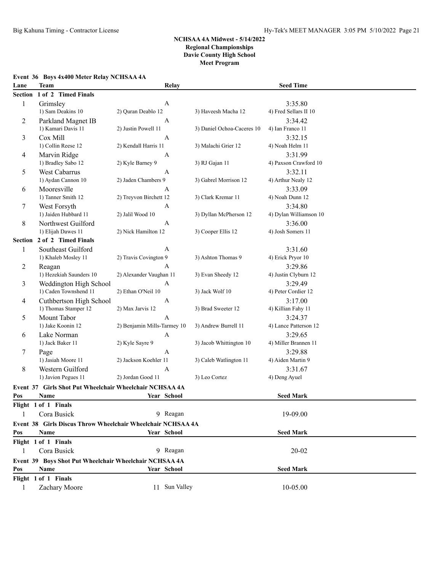# **Event 36 Boys 4x400 Meter Relay NCHSAA 4A**

| Lane           | Team                                                        | Relay                       |                            | <b>Seed Time</b>       |  |
|----------------|-------------------------------------------------------------|-----------------------------|----------------------------|------------------------|--|
| <b>Section</b> | 1 of 2 Timed Finals                                         |                             |                            |                        |  |
| $\mathbf{1}$   | Grimsley                                                    | A                           |                            | 3:35.80                |  |
|                | 1) Sam Deakins 10                                           | 2) Quran Deablo 12          | 3) Haveesh Macha 12        | 4) Fred Sellars II 10  |  |
| 2              | Parkland Magnet IB                                          | $\boldsymbol{A}$            |                            | 3:34.42                |  |
|                | 1) Kamari Davis 11                                          | 2) Justin Powell 11         | 3) Daniel Ochoa-Caceres 10 | 4) Ian Franco 11       |  |
| 3              | Cox Mill                                                    | $\boldsymbol{A}$            |                            | 3:32.15                |  |
|                | 1) Collin Reese 12                                          | 2) Kendall Harris 11        | 3) Malachi Grier 12        | 4) Noah Helm 11        |  |
| 4              | Marvin Ridge                                                | $\mathbf{A}$                |                            | 3:31.99                |  |
|                | 1) Bradley Sabo 12                                          | 2) Kyle Barney 9            | 3) RJ Gajan 11             | 4) Paxson Crawford 10  |  |
| 5              | West Cabarrus                                               | $\boldsymbol{A}$            |                            | 3:32.11                |  |
|                | 1) Aydan Cannon 10                                          | 2) Jaden Chambers 9         | 3) Gabrel Morrison 12      | 4) Arthur Nealy 12     |  |
| 6              | Mooresville                                                 | A                           |                            | 3:33.09                |  |
|                | 1) Tanner Smith 12                                          | 2) Treyvon Birchett 12      | 3) Clark Kremar 11         | 4) Noah Dunn 12        |  |
| 7              | West Forsyth                                                | $\boldsymbol{A}$            |                            | 3:34.80                |  |
|                | 1) Jaiden Hubbard 11                                        | 2) Jalil Wood 10            | 3) Dyllan McPherson 12     | 4) Dylan Williamson 10 |  |
| 8              | Northwest Guilford                                          | $\mathbf{A}$                |                            | 3:36.00                |  |
|                | 1) Elijah Dawes 11                                          | 2) Nick Hamilton 12         | 3) Cooper Ellis 12         | 4) Josh Somers 11      |  |
| Section        | 2 of 2 Timed Finals                                         |                             |                            |                        |  |
| 1              | Southeast Guilford                                          | $\mathbf{A}$                |                            | 3:31.60                |  |
|                | 1) Khaleb Mosley 11                                         | 2) Travis Covington 9       | 3) Ashton Thomas 9         | 4) Erick Pryor 10      |  |
| 2              | Reagan                                                      | A                           |                            | 3:29.86                |  |
|                | 1) Hezekiah Saunders 10                                     | 2) Alexander Vaughan 11     | 3) Evan Sheedy 12          | 4) Justin Clyburn 12   |  |
| 3              | Weddington High School                                      | A                           |                            | 3:29.49                |  |
|                | 1) Caden Townshend 11                                       | 2) Ethan O'Neil 10          | 3) Jack Wolf 10            | 4) Peter Cordier 12    |  |
| 4              | Cuthbertson High School                                     | A                           |                            | 3:17.00                |  |
|                | 1) Thomas Stamper 12                                        | 2) Max Jarvis 12            | 3) Brad Sweeter 12         | 4) Killian Fahy 11     |  |
| 5              | Mount Tabor                                                 | Α                           |                            | 3:24.37                |  |
|                | 1) Jake Koonin 12                                           | 2) Benjamin Mills-Tarmey 10 | 3) Andrew Burrell 11       | 4) Lance Patterson 12  |  |
| 6              | Lake Norman                                                 | A                           |                            | 3:29.65                |  |
|                | 1) Jack Baker 11                                            | 2) Kyle Sayre 9             | 3) Jacob Whittington 10    | 4) Miller Brannen 11   |  |
| 7              | Page                                                        | $\mathbf{A}$                |                            | 3:29.88                |  |
|                | 1) Jasiah Moore 11                                          | 2) Jackson Koehler 11       | 3) Caleb Watlington 11     | 4) Aiden Martin 9      |  |
| 8              | Western Guilford                                            | $\mathbf{A}$                |                            | 3:31.67                |  |
|                | 1) Javion Pegues 11                                         | 2) Jordan Good 11           | 3) Leo Cortez              | 4) Deng Ayuel          |  |
|                | Event 37 Girls Shot Put Wheelchair Wheelchair NCHSAA 4A     |                             |                            |                        |  |
| Pos            | Name                                                        | Year School                 |                            | <b>Seed Mark</b>       |  |
|                | Flight 1 of 1 Finals                                        |                             |                            |                        |  |
| 1              | Cora Busick                                                 | 9 Reagan                    |                            | 19-09.00               |  |
|                | Event 38 Girls Discus Throw Wheelchair Wheelchair NCHSAA 4A |                             |                            |                        |  |
| Pos            | Name                                                        | Year School                 |                            | <b>Seed Mark</b>       |  |
|                | Flight 1 of 1 Finals                                        |                             |                            |                        |  |
| 1              | Cora Busick                                                 | 9 Reagan                    |                            | $20 - 02$              |  |
|                | Event 39 Boys Shot Put Wheelchair Wheelchair NCHSAA 4A      |                             |                            |                        |  |
| Pos            | Name                                                        | Year School                 |                            | <b>Seed Mark</b>       |  |
|                | Flight 1 of 1 Finals                                        |                             |                            |                        |  |
| 1              | Zachary Moore                                               | 11 Sun Valley               |                            | 10-05.00               |  |
|                |                                                             |                             |                            |                        |  |